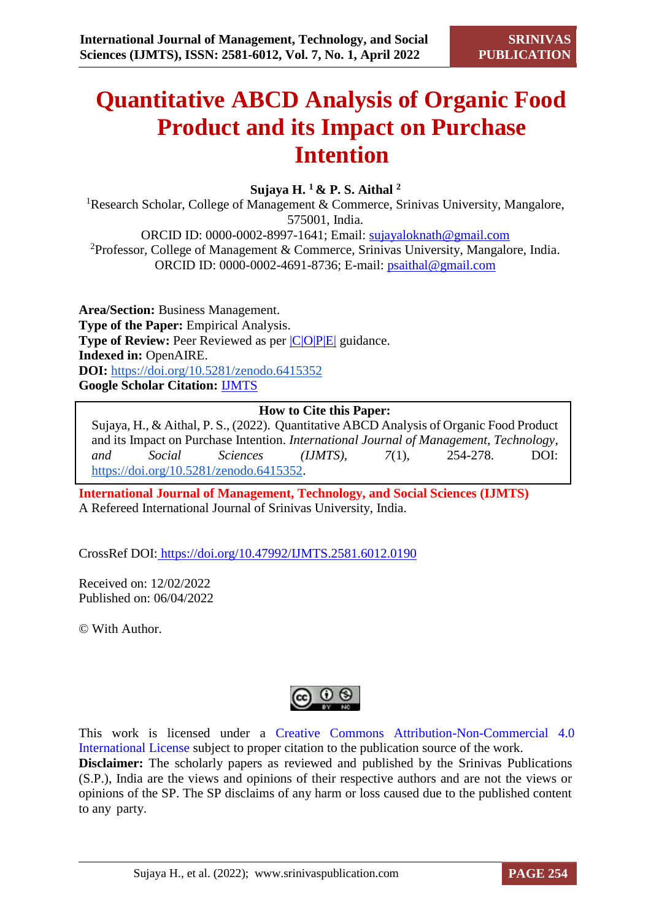# **Quantitative ABCD Analysis of Organic Food Product and its Impact on Purchase Intention**

## **Sujaya H. <sup>1</sup>& P. S. Aithal <sup>2</sup>**

<sup>1</sup>Research Scholar, College of Management & Commerce, Srinivas University, Mangalore, 575001, India. ORCID ID: 0000-0002-8997-1641; Email: [sujayaloknath@gmail.com](mailto:sujayaloknath@gmail.com) <sup>2</sup>Professor, College of Management & Commerce, Srinivas University, Mangalore, India. ORCID ID: 0000-0002-4691-8736; E-mail: [psaithal@gmail.com](mailto:psaithal@gmail.com)

**Area/Section:** Business Management. **Type of the Paper:** Empirical Analysis. **Type of Review:** Peer Reviewed as per  $|C|O||P|E|$  guidance. **Indexed in:** OpenAIRE. **DOI:** <https://doi.org/10.5281/zenodo.6415352> **Google Scholar Citation:** [IJMTS](https://scholar.google.com/citations?user=bphF0BQAAAAJ)

## **How to Cite this Paper:**

Sujaya, H., & Aithal, P. S., (2022). Quantitative ABCD Analysis of Organic Food Product and its Impact on Purchase Intention. *International Journal of Management, Technology, and Social Sciences (IJMTS), 7*(1), 254-278. DOI: [https://doi.org/10.5281/zenodo.6415352.](https://doi.org/10.5281/zenodo.6415352)

**International Journal of Management, Technology, and Social Sciences (IJMTS)** A Refereed International Journal of Srinivas University, India.

CrossRef DOI: [https://doi.org/10.47992/IJMTS.2581.6012.0190](https://search.crossref.org/?q=10.47992%2FIJMTS.2581.6012.0190&from_ui=yes)

Received on: 12/02/2022 Published on: 06/04/2022

© With Author.



This work is licensed under a Creative Commons Attribution-Non-Commercial 4.0 International License subject to proper citation to the publication source of the work. **Disclaimer:** The scholarly papers as reviewed and published by the Srinivas Publications (S.P.), India are the views and opinions of their respective authors and are not the views or opinions of the SP. The SP disclaims of any harm or loss caused due to the published content to any party.

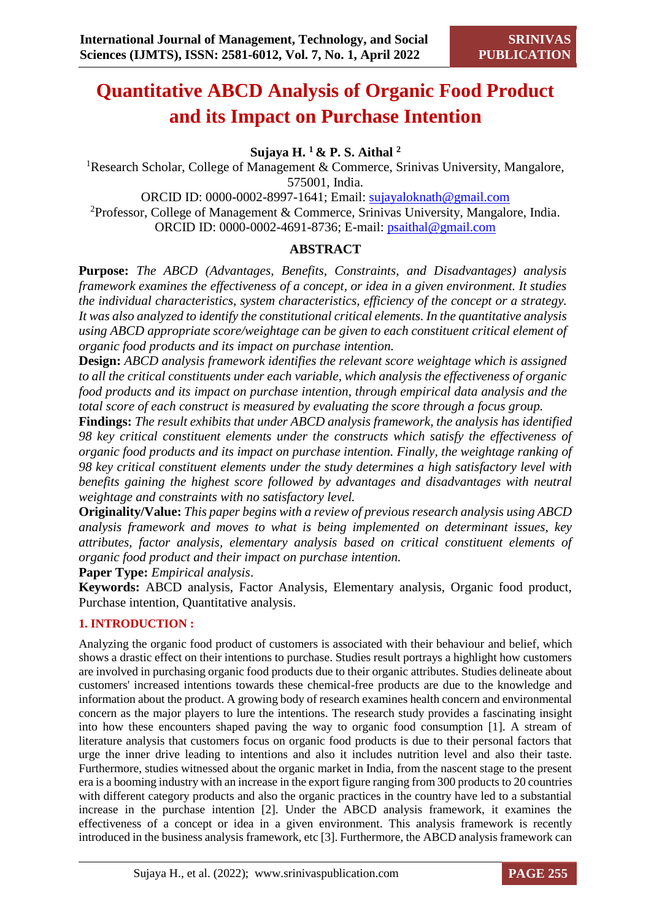## **Quantitative ABCD Analysis of Organic Food Product and its Impact on Purchase Intention**

**Sujaya H. <sup>1</sup>& P. S. Aithal <sup>2</sup>**

<sup>1</sup>Research Scholar, College of Management & Commerce, Srinivas University, Mangalore, 575001, India.

ORCID ID: 0000-0002-8997-1641; Email: [sujayaloknath@gmail.com](mailto:sujayaloknath@gmail.com) <sup>2</sup>Professor, College of Management & Commerce, Srinivas University, Mangalore, India. ORCID ID: 0000-0002-4691-8736; E-mail: [psaithal@gmail.com](mailto:psaithal@gmail.com)

## **ABSTRACT**

**Purpose:** *The ABCD (Advantages, Benefits, Constraints, and Disadvantages) analysis framework examines the effectiveness of a concept, or idea in a given environment. It studies the individual characteristics, system characteristics, efficiency of the concept or a strategy. It was also analyzed to identify the constitutional critical elements. In the quantitative analysis using ABCD appropriate score/weightage can be given to each constituent critical element of organic food products and its impact on purchase intention.* 

**Design:** *ABCD analysis framework identifies the relevant score weightage which is assigned to all the critical constituents under each variable, which analysis the effectiveness of organic food products and its impact on purchase intention, through empirical data analysis and the total score of each construct is measured by evaluating the score through a focus group.*

**Findings:** *The result exhibits that under ABCD analysis framework, the analysis has identified 98 key critical constituent elements under the constructs which satisfy the effectiveness of organic food products and its impact on purchase intention. Finally, the weightage ranking of 98 key critical constituent elements under the study determines a high satisfactory level with benefits gaining the highest score followed by advantages and disadvantages with neutral weightage and constraints with no satisfactory level.*

**Originality/Value:** *This paper begins with a review of previous research analysis using ABCD analysis framework and moves to what is being implemented on determinant issues, key attributes, factor analysis, elementary analysis based on critical constituent elements of organic food product and their impact on purchase intention.*

**Paper Type:** *Empirical analysis*.

**Keywords:** ABCD analysis, Factor Analysis, Elementary analysis, Organic food product, Purchase intention, Quantitative analysis.

## **1. INTRODUCTION :**

Analyzing the organic food product of customers is associated with their behaviour and belief, which shows a drastic effect on their intentions to purchase. Studies result portrays a highlight how customers are involved in purchasing organic food products due to their organic attributes. Studies delineate about customers' increased intentions towards these chemical-free products are due to the knowledge and information about the product. A growing body of research examines health concern and environmental concern as the major players to lure the intentions. The research study provides a fascinating insight into how these encounters shaped paving the way to organic food consumption [1]. A stream of literature analysis that customers focus on organic food products is due to their personal factors that urge the inner drive leading to intentions and also it includes nutrition level and also their taste. Furthermore, studies witnessed about the organic market in India, from the nascent stage to the present era is a booming industry with an increase in the export figure ranging from 300 products to 20 countries with different category products and also the organic practices in the country have led to a substantial increase in the purchase intention [2]. Under the ABCD analysis framework, it examines the effectiveness of a concept or idea in a given environment. This analysis framework is recently introduced in the business analysis framework, etc [3]. Furthermore, the ABCD analysis framework can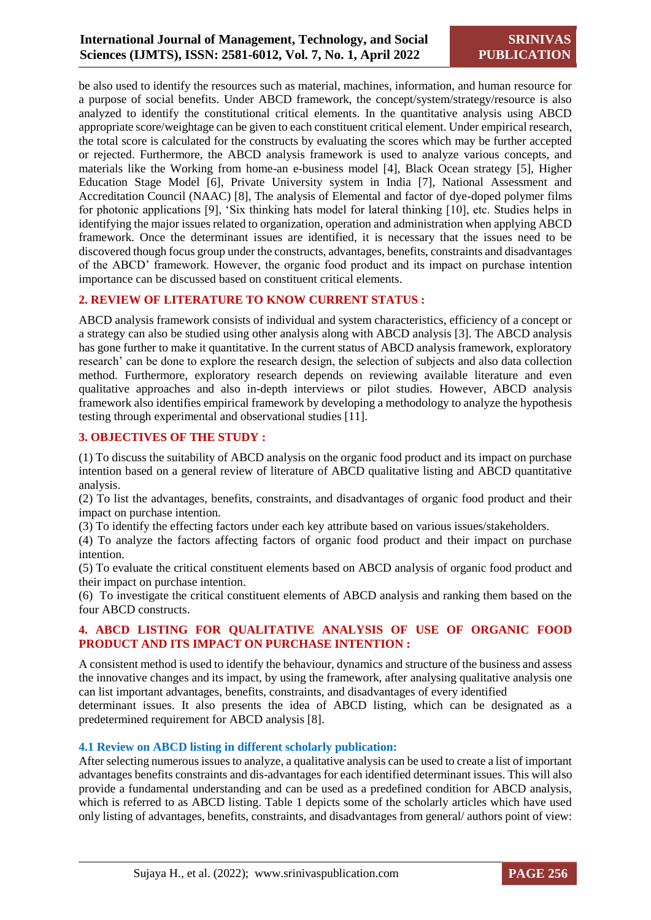be also used to identify the resources such as material, machines, information, and human resource for a purpose of social benefits. Under ABCD framework, the concept/system/strategy/resource is also analyzed to identify the constitutional critical elements. In the quantitative analysis using ABCD appropriate score/weightage can be given to each constituent critical element. Under empirical research, the total score is calculated for the constructs by evaluating the scores which may be further accepted or rejected. Furthermore, the ABCD analysis framework is used to analyze various concepts, and materials like the Working from home-an e-business model [4], Black Ocean strategy [5], Higher Education Stage Model [6], Private University system in India [7], National Assessment and Accreditation Council (NAAC) [8], The analysis of Elemental and factor of dye-doped polymer films for photonic applications [9], 'Six thinking hats model for lateral thinking [10], etc. Studies helps in identifying the major issues related to organization, operation and administration when applying ABCD framework. Once the determinant issues are identified, it is necessary that the issues need to be discovered though focus group under the constructs, advantages, benefits, constraints and disadvantages of the ABCD' framework. However, the organic food product and its impact on purchase intention importance can be discussed based on constituent critical elements.

#### **2. REVIEW OF LITERATURE TO KNOW CURRENT STATUS :**

ABCD analysis framework consists of individual and system characteristics, efficiency of a concept or a strategy can also be studied using other analysis along with ABCD analysis [3]. The ABCD analysis has gone further to make it quantitative. In the current status of ABCD analysis framework, exploratory research' can be done to explore the research design, the selection of subjects and also data collection method. Furthermore, exploratory research depends on reviewing available literature and even qualitative approaches and also in-depth interviews or pilot studies. However, ABCD analysis framework also identifies empirical framework by developing a methodology to analyze the hypothesis testing through experimental and observational studies [11].

## **3. OBJECTIVES OF THE STUDY :**

(1) To discuss the suitability of ABCD analysis on the organic food product and its impact on purchase intention based on a general review of literature of ABCD qualitative listing and ABCD quantitative analysis.

(2) To list the advantages, benefits, constraints, and disadvantages of organic food product and their impact on purchase intention.

(3) To identify the effecting factors under each key attribute based on various issues/stakeholders.

(4) To analyze the factors affecting factors of organic food product and their impact on purchase intention.

(5) To evaluate the critical constituent elements based on ABCD analysis of organic food product and their impact on purchase intention.

(6) To investigate the critical constituent elements of ABCD analysis and ranking them based on the four ABCD constructs.

#### **4. ABCD LISTING FOR QUALITATIVE ANALYSIS OF USE OF ORGANIC FOOD PRODUCT AND ITS IMPACT ON PURCHASE INTENTION :**

A consistent method is used to identify the behaviour, dynamics and structure of the business and assess the innovative changes and its impact, by using the framework, after analysing qualitative analysis one can list important advantages, benefits, constraints, and disadvantages of every identified determinant issues. It also presents the idea of ABCD listing, which can be designated as a predetermined requirement for ABCD analysis [8].

#### **4.1 Review on ABCD listing in different scholarly publication:**

After selecting numerous issues to analyze, a qualitative analysis can be used to create a list of important advantages benefits constraints and dis-advantages for each identified determinant issues. This will also provide a fundamental understanding and can be used as a predefined condition for ABCD analysis, which is referred to as ABCD listing. Table 1 depicts some of the scholarly articles which have used only listing of advantages, benefits, constraints, and disadvantages from general/ authors point of view: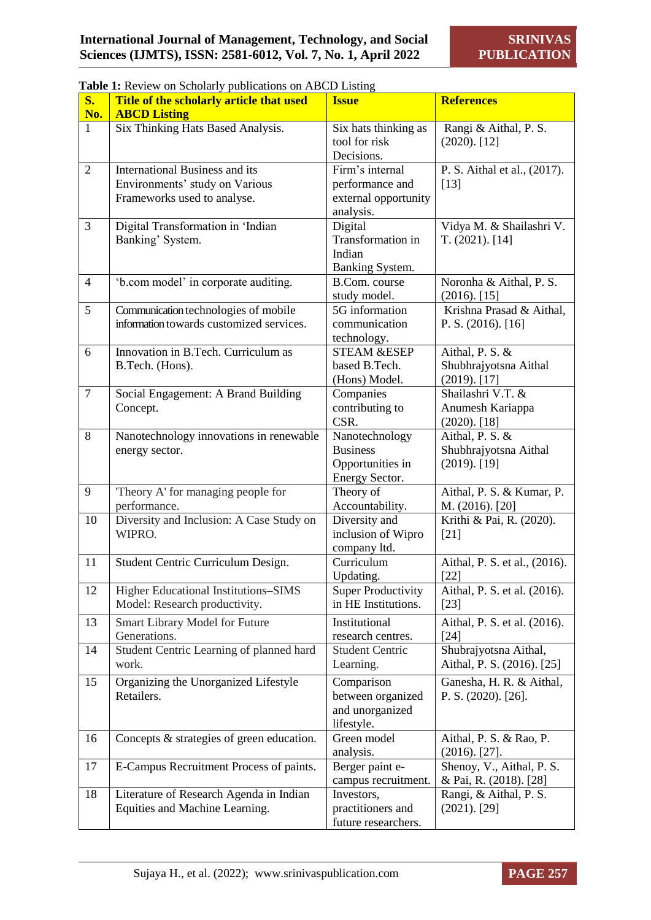|                  | Table 1: Review on Scholarly publications on ABCD Listing                                              |                                                                         |                                                             |  |  |  |
|------------------|--------------------------------------------------------------------------------------------------------|-------------------------------------------------------------------------|-------------------------------------------------------------|--|--|--|
| $S_{\bullet}$    | Title of the scholarly article that used                                                               | <b>Issue</b>                                                            | <b>References</b>                                           |  |  |  |
| No.              | <b>ABCD Listing</b>                                                                                    |                                                                         |                                                             |  |  |  |
| $\mathbf{1}$     | Six Thinking Hats Based Analysis.                                                                      | Six hats thinking as<br>tool for risk<br>Decisions.                     | Rangi & Aithal, P. S.<br>$(2020)$ . [12]                    |  |  |  |
| $\overline{2}$   | <b>International Business and its</b><br>Environments' study on Various<br>Frameworks used to analyse. | Firm's internal<br>performance and<br>external opportunity<br>analysis. | P. S. Aithal et al., (2017).<br>$[13]$                      |  |  |  |
| 3                | Digital Transformation in 'Indian<br>Banking' System.                                                  | Digital<br>Transformation in<br>Indian<br>Banking System.               | Vidya M. & Shailashri V.<br>T. (2021). [14]                 |  |  |  |
| $\overline{4}$   | 'b.com model' in corporate auditing.                                                                   | <b>B.Com.</b> course<br>study model.                                    | Noronha & Aithal, P. S.<br>$(2016)$ . [15]                  |  |  |  |
| 5                | Communication technologies of mobile<br>information towards customized services.                       | 5G information<br>communication<br>technology.                          | Krishna Prasad & Aithal,<br>P. S. $(2016)$ . [16]           |  |  |  |
| 6                | Innovation in B.Tech. Curriculum as<br>B.Tech. (Hons).                                                 | <b>STEAM &amp;ESEP</b><br>based B.Tech.<br>(Hons) Model.                | Aithal, P. S. &<br>Shubhrajyotsna Aithal<br>$(2019)$ . [17] |  |  |  |
| $\boldsymbol{7}$ | Social Engagement: A Brand Building<br>Concept.                                                        | Companies<br>contributing to<br>CSR.                                    | Shailashri V.T. &<br>Anumesh Kariappa<br>$(2020)$ . [18]    |  |  |  |
| 8                | Nanotechnology innovations in renewable<br>energy sector.                                              | Nanotechnology<br><b>Business</b><br>Opportunities in<br>Energy Sector. | Aithal, P. S. &<br>Shubhrajyotsna Aithal<br>$(2019)$ . [19] |  |  |  |
| 9                | Theory A' for managing people for<br>performance.                                                      | Theory of<br>Accountability.                                            | Aithal, P. S. & Kumar, P.<br>M. (2016). [20]                |  |  |  |
| 10               | Diversity and Inclusion: A Case Study on<br>WIPRO.                                                     | Diversity and<br>inclusion of Wipro<br>company ltd.                     | Krithi & Pai, R. (2020).<br>$[21]$                          |  |  |  |
| 11               | Student Centric Curriculum Design.                                                                     | Curriculum<br>Updating.                                                 | Aithal, P. S. et al., (2016).<br>$[22]$                     |  |  |  |
| 12               | <b>Higher Educational Institutions-SIMS</b><br>Model: Research productivity.                           | <b>Super Productivity</b><br>in HE Institutions.                        | Aithal, P. S. et al. (2016).<br>$[23]$                      |  |  |  |
| 13               | Smart Library Model for Future<br>Generations.                                                         | Institutional<br>research centres.                                      | Aithal, P. S. et al. (2016).<br>[24]                        |  |  |  |
| 14               | Student Centric Learning of planned hard<br>work.                                                      | <b>Student Centric</b><br>Learning.                                     | Shubrajyotsna Aithal,<br>Aithal, P. S. (2016). [25]         |  |  |  |
| 15               | Organizing the Unorganized Lifestyle<br>Retailers.                                                     | Comparison<br>between organized<br>and unorganized<br>lifestyle.        | Ganesha, H. R. & Aithal,<br>P. S. (2020). [26].             |  |  |  |
| 16               | Concepts & strategies of green education.                                                              | Green model<br>analysis.                                                | Aithal, P. S. & Rao, P.<br>$(2016)$ . [27].                 |  |  |  |
| 17               | E-Campus Recruitment Process of paints.                                                                | Berger paint e-<br>campus recruitment.                                  | Shenoy, V., Aithal, P. S.<br>& Pai, R. (2018). [28]         |  |  |  |
| 18               | Literature of Research Agenda in Indian<br>Equities and Machine Learning.                              | Investors,<br>practitioners and<br>future researchers.                  | Rangi, & Aithal, P. S.<br>$(2021)$ . [29]                   |  |  |  |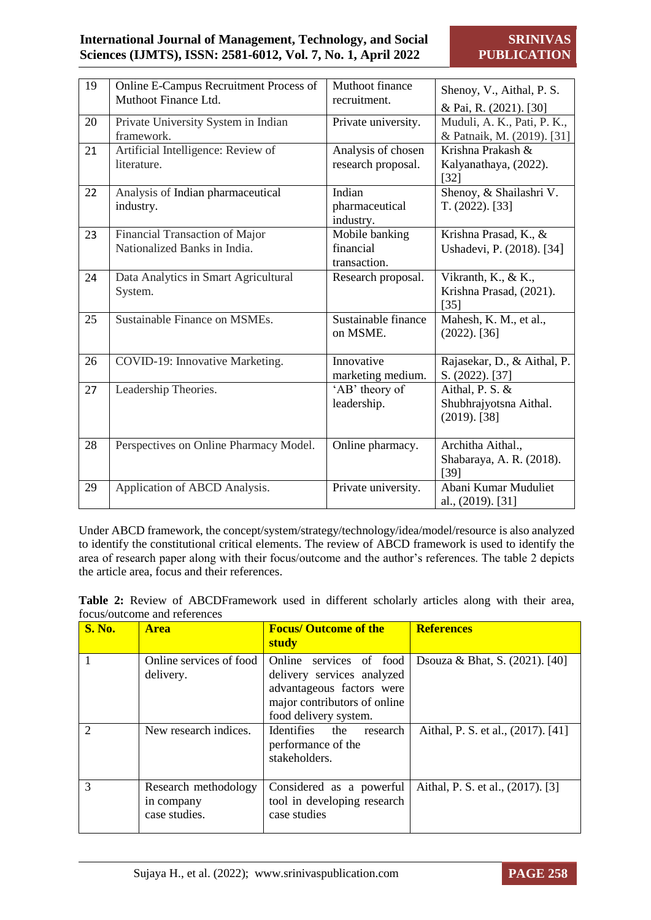## **International Journal of Management, Technology, and Social Sciences (IJMTS), ISSN: 2581-6012, Vol. 7, No. 1, April 2022**

| 19 | Online E-Campus Recruitment Process of | Muthoot finance     | Shenoy, V., Aithal, P. S.   |
|----|----------------------------------------|---------------------|-----------------------------|
|    | Muthoot Finance Ltd.                   | recruitment.        | & Pai, R. (2021). [30]      |
| 20 | Private University System in Indian    | Private university. | Muduli, A. K., Pati, P. K., |
|    | framework.                             |                     | & Patnaik, M. (2019). [31]  |
| 21 | Artificial Intelligence: Review of     | Analysis of chosen  | Krishna Prakash &           |
|    | literature.                            | research proposal.  | Kalyanathaya, (2022).       |
|    |                                        |                     | $[32]$                      |
| 22 | Analysis of Indian pharmaceutical      | Indian              | Shenoy, & Shailashri V.     |
|    | industry.                              | pharmaceutical      | T. (2022). [33]             |
|    |                                        | industry.           |                             |
| 23 | Financial Transaction of Major         | Mobile banking      | Krishna Prasad, K., &       |
|    | Nationalized Banks in India.           | financial           | Ushadevi, P. (2018). [34]   |
|    |                                        | transaction.        |                             |
| 24 | Data Analytics in Smart Agricultural   | Research proposal.  | Vikranth, K., & K.,         |
|    | System.                                |                     | Krishna Prasad, (2021).     |
|    |                                        |                     | $[35]$                      |
| 25 | Sustainable Finance on MSMEs.          | Sustainable finance | Mahesh, K. M., et al.,      |
|    |                                        | on MSME.            | $(2022)$ . [36]             |
|    |                                        |                     |                             |
| 26 | COVID-19: Innovative Marketing.        | Innovative          | Rajasekar, D., & Aithal, P. |
|    |                                        | marketing medium.   | S. (2022). [37]             |
| 27 | Leadership Theories.                   | 'AB' theory of      | Aithal, P. S. &             |
|    |                                        | leadership.         | Shubhrajyotsna Aithal.      |
|    |                                        |                     | $(2019)$ . [38]             |
|    |                                        |                     |                             |
| 28 | Perspectives on Online Pharmacy Model. | Online pharmacy.    | Architha Aithal.,           |
|    |                                        |                     | Shabaraya, A. R. (2018).    |
|    |                                        |                     | [39]                        |
| 29 | Application of ABCD Analysis.          | Private university. | Abani Kumar Muduliet        |
|    |                                        |                     | al., (2019). [31]           |

Under ABCD framework, the concept/system/strategy/technology/idea/model/resource is also analyzed to identify the constitutional critical elements. The review of ABCD framework is used to identify the area of research paper along with their focus/outcome and the author's references. The table 2 depicts the article area, focus and their references.

**Table 2:** Review of ABCDFramework used in different scholarly articles along with their area, focus/outcome and references

| <b>S. No.</b> | <b>Area</b>                                         | <b>Focus/ Outcome of the</b><br>study                                                                                                       | <b>References</b>                  |
|---------------|-----------------------------------------------------|---------------------------------------------------------------------------------------------------------------------------------------------|------------------------------------|
|               | Online services of food<br>delivery.                | Online services of food<br>delivery services analyzed<br>advantageous factors were<br>major contributors of online<br>food delivery system. | Dsouza & Bhat, S. (2021). [40]     |
| $\mathcal{D}$ | New research indices.                               | Identifies<br>the<br>research<br>performance of the<br>stakeholders.                                                                        | Aithal, P. S. et al., (2017). [41] |
| $\mathcal{R}$ | Research methodology<br>in company<br>case studies. | Considered as a powerful<br>tool in developing research<br>case studies                                                                     | Aithal, P. S. et al., (2017). [3]  |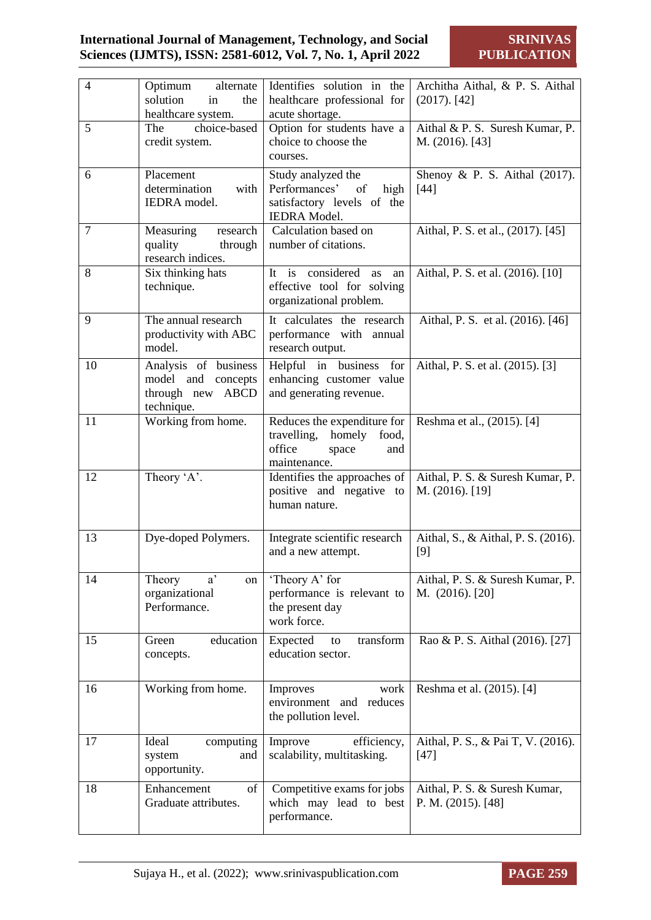## **International Journal of Management, Technology, and Social Sciences (IJMTS), ISSN: 2581-6012, Vol. 7, No. 1, April 2022**

**SRINIVAS PUBLICATION**

| $\overline{4}$ | Optimum<br>alternate<br>solution<br>in<br>the<br>healthcare system.          | Identifies solution in the<br>healthcare professional for<br>acute shortage.                                      | Architha Aithal, & P. S. Aithal<br>$(2017)$ . [42]  |
|----------------|------------------------------------------------------------------------------|-------------------------------------------------------------------------------------------------------------------|-----------------------------------------------------|
| 5              | choice-based<br>The<br>credit system.                                        | Option for students have a<br>choice to choose the<br>courses.                                                    | Aithal & P. S. Suresh Kumar, P.<br>M. (2016). [43]  |
| 6              | Placement<br>determination<br>with<br><b>IEDRA</b> model.                    | Study analyzed the<br><sub>of</sub><br>Performances'<br>high<br>satisfactory levels of the<br><b>IEDRA</b> Model. | Shenoy & P. S. Aithal $(2017)$ .<br>$[44]$          |
| $\overline{7}$ | Measuring<br>research<br>quality<br>through<br>research indices.             | Calculation based on<br>number of citations.                                                                      | Aithal, P. S. et al., (2017). [45]                  |
| 8              | Six thinking hats<br>technique.                                              | It is considered<br>as<br>an<br>effective tool for solving<br>organizational problem.                             | Aithal, P. S. et al. (2016). [10]                   |
| 9              | The annual research<br>productivity with ABC<br>model.                       | It calculates the research<br>performance with annual<br>research output.                                         | Aithal, P. S. et al. (2016). [46]                   |
| 10             | Analysis of business<br>model and concepts<br>through new ABCD<br>technique. | Helpful in business for<br>enhancing customer value<br>and generating revenue.                                    | Aithal, P. S. et al. (2015). [3]                    |
| 11             | Working from home.                                                           | Reduces the expenditure for<br>travelling,<br>homely<br>food,<br>office<br>space<br>and<br>maintenance.           | Reshma et al., (2015). [4]                          |
| 12             | Theory 'A'.                                                                  | Identifies the approaches of<br>positive and negative to<br>human nature.                                         | Aithal, P. S. & Suresh Kumar, P.<br>M. (2016). [19] |
| 13             | Dye-doped Polymers.                                                          | Integrate scientific research<br>and a new attempt.                                                               | Aithal, S., & Aithal, P. S. (2016).<br>[9]          |
| 14             | a'<br>Theory<br>on<br>organizational<br>Performance.                         | 'Theory A' for<br>performance is relevant to<br>the present day<br>work force.                                    | Aithal, P. S. & Suresh Kumar, P.<br>M. (2016). [20] |
| 15             | education<br>Green<br>concepts.                                              | transform<br>Expected<br>to<br>education sector.                                                                  | Rao & P. S. Aithal (2016). [27]                     |
| 16             | Working from home.                                                           | Improves<br>work<br>environment and reduces<br>the pollution level.                                               | Reshma et al. (2015). [4]                           |
| 17             | Ideal<br>computing<br>system<br>and<br>opportunity.                          | Improve<br>efficiency,<br>scalability, multitasking.                                                              | Aithal, P. S., & Pai T, V. (2016).<br>$[47]$        |
| 18             | Enhancement<br>of<br>Graduate attributes.                                    | Competitive exams for jobs<br>which may lead to best<br>performance.                                              | Aithal, P. S. & Suresh Kumar,<br>P. M. (2015). [48] |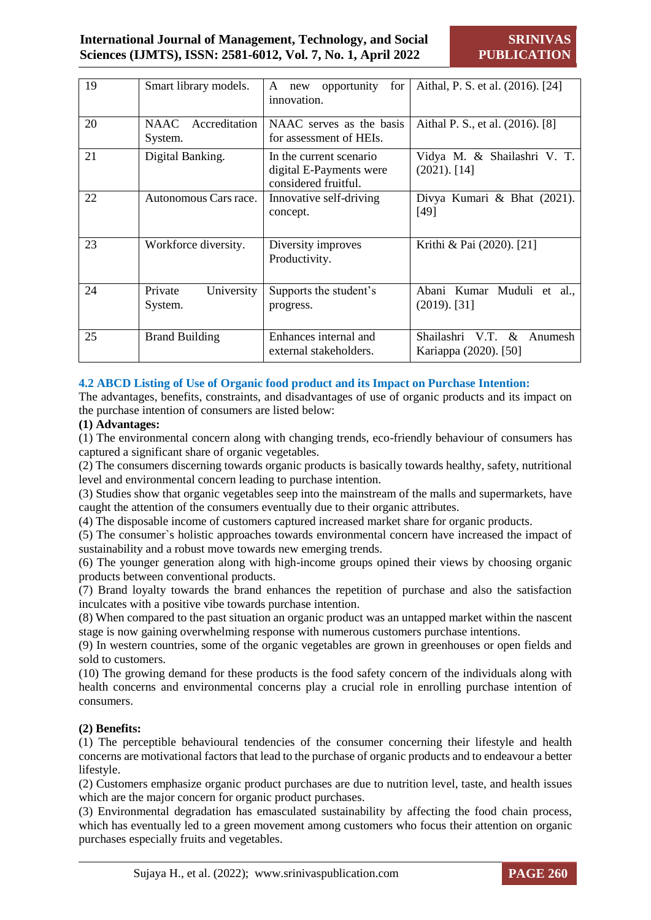| 19 | Smart library models.             | for<br>opportunity<br>A<br>new<br>innovation.                              | Aithal, P. S. et al. (2016). [24]                     |
|----|-----------------------------------|----------------------------------------------------------------------------|-------------------------------------------------------|
| 20 | Accreditation<br>NAAC.<br>System. | NAAC serves as the basis<br>for assessment of HEIs.                        | Aithal P. S., et al. (2016). [8]                      |
| 21 | Digital Banking.                  | In the current scenario<br>digital E-Payments were<br>considered fruitful. | Vidya M. & Shailashri V. T.<br>$(2021)$ . [14]        |
| 22 | Autonomous Cars race.             | Innovative self-driving<br>concept.                                        | Divya Kumari & Bhat (2021).<br>[49]                   |
| 23 | Workforce diversity.              | Diversity improves<br>Productivity.                                        | Krithi & Pai (2020). [21]                             |
| 24 | Private<br>University<br>System.  | Supports the student's<br>progress.                                        | Abani Kumar Muduli et al.,<br>$(2019)$ . [31]         |
| 25 | <b>Brand Building</b>             | Enhances internal and<br>external stakeholders.                            | Shailashri V.T. &<br>Anumesh<br>Kariappa (2020). [50] |

#### **4.2 ABCD Listing of Use of Organic food product and its Impact on Purchase Intention:**

The advantages, benefits, constraints, and disadvantages of use of organic products and its impact on the purchase intention of consumers are listed below:

#### **(1) Advantages:**

(1) The environmental concern along with changing trends, eco-friendly behaviour of consumers has captured a significant share of organic vegetables.

(2) The consumers discerning towards organic products is basically towards healthy, safety, nutritional level and environmental concern leading to purchase intention.

(3) Studies show that organic vegetables seep into the mainstream of the malls and supermarkets, have caught the attention of the consumers eventually due to their organic attributes.

(4) The disposable income of customers captured increased market share for organic products.

(5) The consumer`s holistic approaches towards environmental concern have increased the impact of sustainability and a robust move towards new emerging trends.

(6) The younger generation along with high-income groups opined their views by choosing organic products between conventional products.

(7) Brand loyalty towards the brand enhances the repetition of purchase and also the satisfaction inculcates with a positive vibe towards purchase intention.

(8) When compared to the past situation an organic product was an untapped market within the nascent stage is now gaining overwhelming response with numerous customers purchase intentions.

(9) In western countries, some of the organic vegetables are grown in greenhouses or open fields and sold to customers.

(10) The growing demand for these products is the food safety concern of the individuals along with health concerns and environmental concerns play a crucial role in enrolling purchase intention of consumers.

#### **(2) Benefits:**

(1) The perceptible behavioural tendencies of the consumer concerning their lifestyle and health concerns are motivational factors that lead to the purchase of organic products and to endeavour a better lifestyle.

(2) Customers emphasize organic product purchases are due to nutrition level, taste, and health issues which are the major concern for organic product purchases.

(3) Environmental degradation has emasculated sustainability by affecting the food chain process, which has eventually led to a green movement among customers who focus their attention on organic purchases especially fruits and vegetables.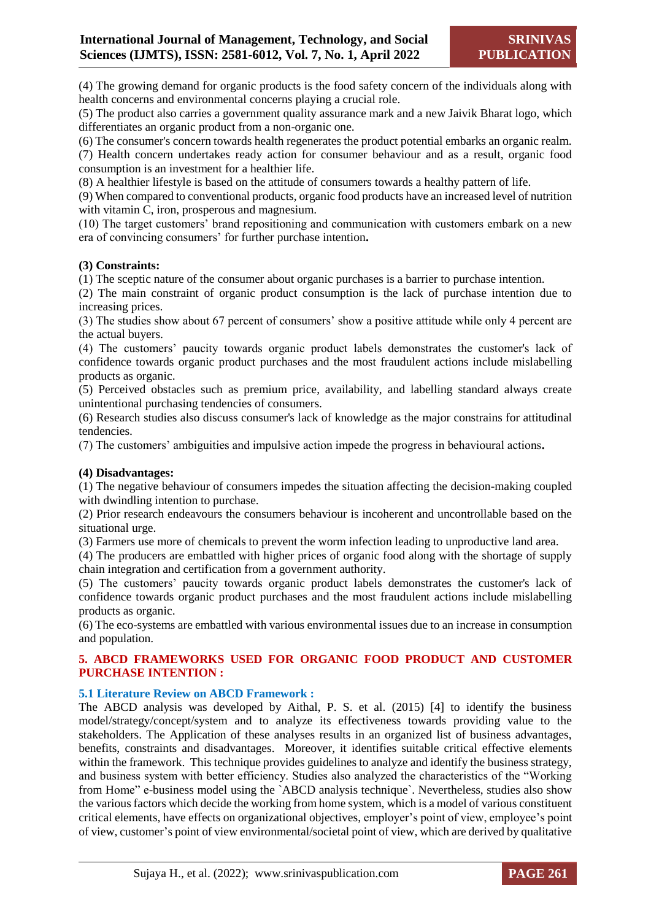(4) The growing demand for organic products is the food safety concern of the individuals along with health concerns and environmental concerns playing a crucial role.

(5) The product also carries a government quality assurance mark and a new Jaivik Bharat logo, which differentiates an organic product from a non-organic one.

(6) The consumer's concern towards health regenerates the product potential embarks an organic realm.

(7) Health concern undertakes ready action for consumer behaviour and as a result, organic food consumption is an investment for a healthier life.

(8) A healthier lifestyle is based on the attitude of consumers towards a healthy pattern of life.

(9) When compared to conventional products, organic food products have an increased level of nutrition with vitamin C, iron, prosperous and magnesium.

(10) The target customers' brand repositioning and communication with customers embark on a new era of convincing consumers' for further purchase intention**.**

#### **(3) Constraints:**

(1) The sceptic nature of the consumer about organic purchases is a barrier to purchase intention.

(2) The main constraint of organic product consumption is the lack of purchase intention due to increasing prices.

(3) The studies show about 67 percent of consumers' show a positive attitude while only 4 percent are the actual buyers.

(4) The customers' paucity towards organic product labels demonstrates the customer's lack of confidence towards organic product purchases and the most fraudulent actions include mislabelling products as organic.

(5) Perceived obstacles such as premium price, availability, and labelling standard always create unintentional purchasing tendencies of consumers.

(6) Research studies also discuss consumer's lack of knowledge as the major constrains for attitudinal tendencies.

(7) The customers' ambiguities and impulsive action impede the progress in behavioural actions**.**

#### **(4) Disadvantages:**

(1) The negative behaviour of consumers impedes the situation affecting the decision-making coupled with dwindling intention to purchase.

(2) Prior research endeavours the consumers behaviour is incoherent and uncontrollable based on the situational urge.

(3) Farmers use more of chemicals to prevent the worm infection leading to unproductive land area.

(4) The producers are embattled with higher prices of organic food along with the shortage of supply chain integration and certification from a government authority.

(5) The customers' paucity towards organic product labels demonstrates the customer's lack of confidence towards organic product purchases and the most fraudulent actions include mislabelling products as organic.

(6) The eco-systems are embattled with various environmental issues due to an increase in consumption and population.

#### **5. ABCD FRAMEWORKS USED FOR ORGANIC FOOD PRODUCT AND CUSTOMER PURCHASE INTENTION :**

#### **5.1 Literature Review on ABCD Framework :**

The ABCD analysis was developed by Aithal, P. S. et al. (2015) [4] to identify the business model/strategy/concept/system and to analyze its effectiveness towards providing value to the stakeholders. The Application of these analyses results in an organized list of business advantages, benefits, constraints and disadvantages. Moreover, it identifies suitable critical effective elements within the framework. This technique provides guidelines to analyze and identify the business strategy, and business system with better efficiency. Studies also analyzed the characteristics of the "Working from Home" e-business model using the `ABCD analysis technique`. Nevertheless, studies also show the various factors which decide the working from home system, which is a model of various constituent critical elements, have effects on organizational objectives, employer's point of view, employee's point of view, customer's point of view environmental/societal point of view, which are derived by qualitative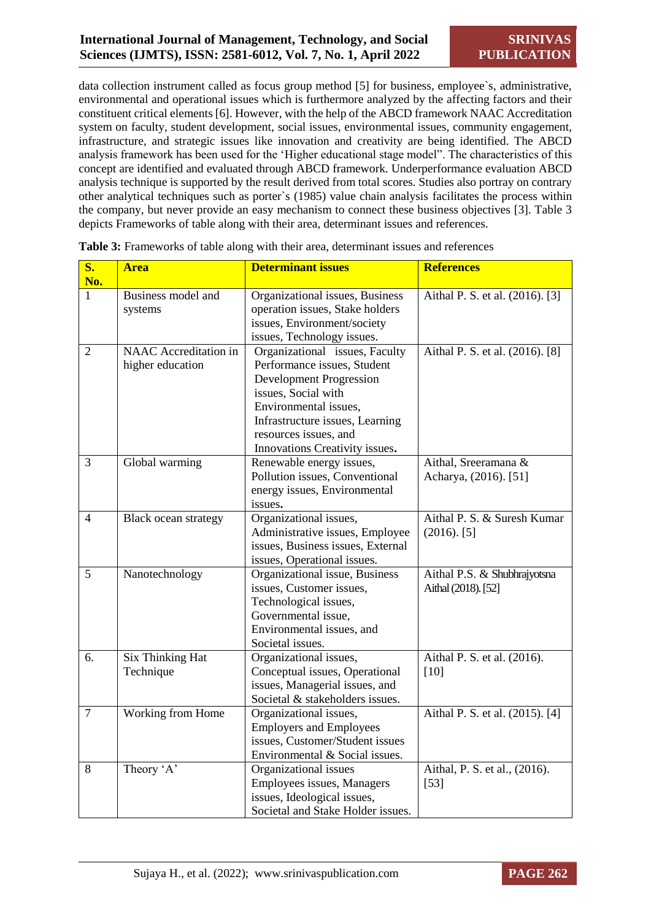data collection instrument called as focus group method [5] for business, employee`s, administrative, environmental and operational issues which is furthermore analyzed by the affecting factors and their constituent critical elements [6]. However, with the help of the ABCD framework NAAC Accreditation system on faculty, student development, social issues, environmental issues, community engagement, infrastructure, and strategic issues like innovation and creativity are being identified. The ABCD analysis framework has been used for the 'Higher educational stage model". The characteristics of this concept are identified and evaluated through ABCD framework. Underperformance evaluation ABCD analysis technique is supported by the result derived from total scores. Studies also portray on contrary other analytical techniques such as porter`s (1985) value chain analysis facilitates the process within the company, but never provide an easy mechanism to connect these business objectives [3]. Table 3 depicts Frameworks of table along with their area, determinant issues and references.

| $\overline{\mathbf{S}}$ .<br>No. | <b>Area</b>                               | <b>Determinant issues</b>                                                                                                                                                                                                                     | <b>References</b>                                   |
|----------------------------------|-------------------------------------------|-----------------------------------------------------------------------------------------------------------------------------------------------------------------------------------------------------------------------------------------------|-----------------------------------------------------|
| $\mathbf{1}$                     | Business model and<br>systems             | Organizational issues, Business<br>operation issues, Stake holders<br>issues, Environment/society<br>issues, Technology issues.                                                                                                               | Aithal P. S. et al. (2016). [3]                     |
| $\overline{2}$                   | NAAC Accreditation in<br>higher education | Organizational issues, Faculty<br>Performance issues, Student<br><b>Development Progression</b><br>issues, Social with<br>Environmental issues,<br>Infrastructure issues, Learning<br>resources issues, and<br>Innovations Creativity issues. | Aithal P. S. et al. (2016). [8]                     |
| $\overline{3}$                   | Global warming                            | Renewable energy issues,<br>Pollution issues, Conventional<br>energy issues, Environmental<br>issues.                                                                                                                                         | Aithal, Sreeramana &<br>Acharya, (2016). [51]       |
| $\overline{4}$                   | <b>Black ocean strategy</b>               | Organizational issues,<br>Administrative issues, Employee<br>issues, Business issues, External<br>issues, Operational issues.                                                                                                                 | Aithal P. S. & Suresh Kumar<br>$(2016)$ . [5]       |
| 5                                | Nanotechnology                            | Organizational issue, Business<br>issues, Customer issues,<br>Technological issues,<br>Governmental issue,<br>Environmental issues, and<br>Societal issues.                                                                                   | Aithal P.S. & Shubhrajyotsna<br>Aithal (2018). [52] |
| 6.                               | <b>Six Thinking Hat</b><br>Technique      | Organizational issues,<br>Conceptual issues, Operational<br>issues, Managerial issues, and<br>Societal & stakeholders issues.                                                                                                                 | Aithal P. S. et al. (2016).<br>[10]                 |
| $\overline{7}$                   | Working from Home                         | Organizational issues,<br><b>Employers and Employees</b><br>issues, Customer/Student issues<br>Environmental & Social issues.                                                                                                                 | Aithal P. S. et al. (2015). [4]                     |
| 8                                | Theory 'A'                                | Organizational issues<br>Employees issues, Managers<br>issues, Ideological issues,<br>Societal and Stake Holder issues.                                                                                                                       | Aithal, P. S. et al., (2016).<br>$[53]$             |

| Table 3: Frameworks of table along with their area, determinant issues and references |  |
|---------------------------------------------------------------------------------------|--|
|---------------------------------------------------------------------------------------|--|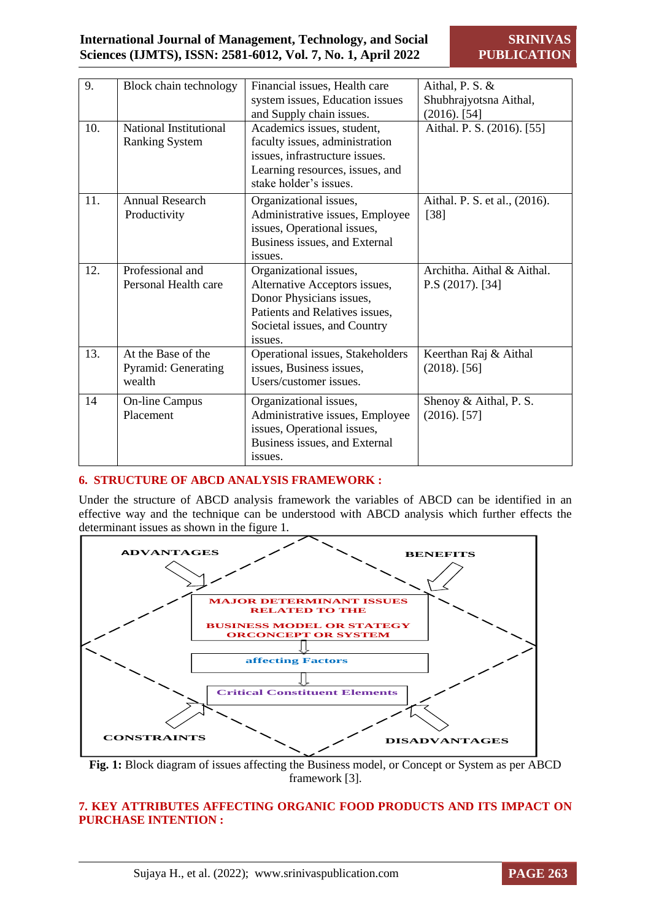| 9.  | Block chain technology     | Financial issues, Health care    | Aithal, P. S. &               |
|-----|----------------------------|----------------------------------|-------------------------------|
|     |                            | system issues, Education issues  | Shubhrajyotsna Aithal,        |
|     |                            | and Supply chain issues.         | $(2016)$ . [54]               |
| 10. | National Institutional     | Academics issues, student,       | Aithal. P. S. (2016). [55]    |
|     | <b>Ranking System</b>      | faculty issues, administration   |                               |
|     |                            | issues, infrastructure issues.   |                               |
|     |                            | Learning resources, issues, and  |                               |
|     |                            | stake holder's issues.           |                               |
| 11. | <b>Annual Research</b>     | Organizational issues,           | Aithal. P. S. et al., (2016). |
|     | Productivity               | Administrative issues, Employee  | $[38]$                        |
|     |                            | issues, Operational issues,      |                               |
|     |                            | Business issues, and External    |                               |
|     |                            | issues.                          |                               |
| 12. | Professional and           | Organizational issues,           | Architha. Aithal & Aithal.    |
|     | Personal Health care       | Alternative Acceptors issues,    | $P.S (2017)$ . [34]           |
|     |                            | Donor Physicians issues,         |                               |
|     |                            | Patients and Relatives issues,   |                               |
|     |                            | Societal issues, and Country     |                               |
|     |                            | issues.                          |                               |
| 13. | At the Base of the         | Operational issues, Stakeholders | Keerthan Raj & Aithal         |
|     | <b>Pyramid: Generating</b> | issues, Business issues,         | $(2018)$ . [56]               |
|     | wealth                     | Users/customer issues.           |                               |
| 14  | <b>On-line Campus</b>      | Organizational issues,           | Shenoy & Aithal, P. S.        |
|     | Placement                  | Administrative issues, Employee  | $(2016)$ . [57]               |
|     |                            | issues, Operational issues,      |                               |
|     |                            | Business issues, and External    |                               |
|     |                            | issues.                          |                               |
|     |                            |                                  |                               |

#### **6. STRUCTURE OF ABCD ANALYSIS FRAMEWORK :**

Under the structure of ABCD analysis framework the variables of ABCD can be identified in an effective way and the technique can be understood with ABCD analysis which further effects the determinant issues as shown in the figure 1.



**Fig. 1:** Block diagram of issues affecting the Business model, or Concept or System as per ABCD framework [3].

#### **7. KEY ATTRIBUTES AFFECTING ORGANIC FOOD PRODUCTS AND ITS IMPACT ON PURCHASE INTENTION :**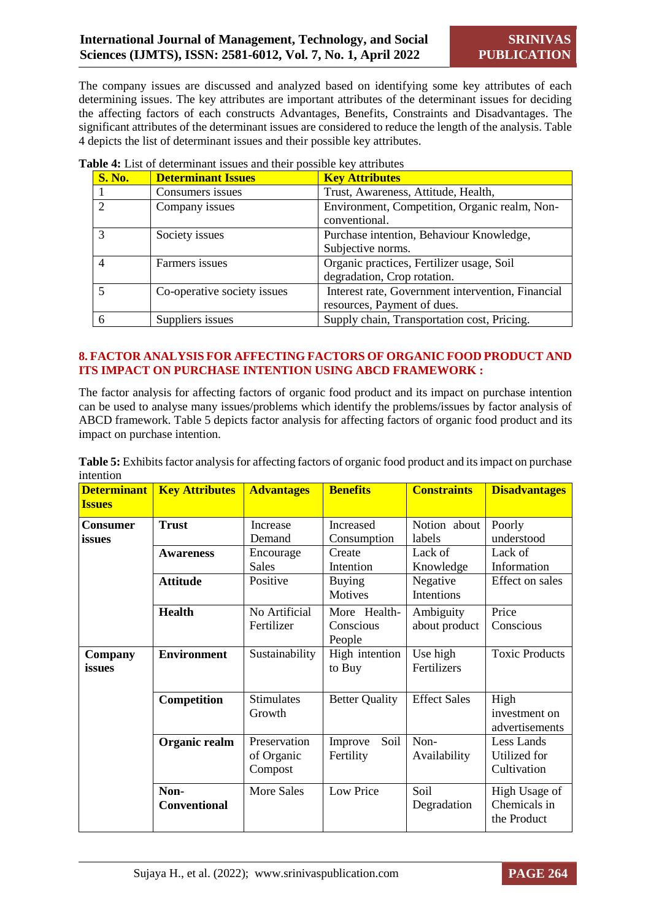The company issues are discussed and analyzed based on identifying some key attributes of each determining issues. The key attributes are important attributes of the determinant issues for deciding the affecting factors of each constructs Advantages, Benefits, Constraints and Disadvantages. The significant attributes of the determinant issues are considered to reduce the length of the analysis. Table 4 depicts the list of determinant issues and their possible key attributes.

| <b>S. No.</b> | <b>Determinant Issues</b>   | <b>Key Attributes</b>                                                            |  |
|---------------|-----------------------------|----------------------------------------------------------------------------------|--|
|               | Consumers issues            | Trust, Awareness, Attitude, Health,                                              |  |
|               | Company issues              | Environment, Competition, Organic realm, Non-<br>conventional.                   |  |
|               | Society issues              | Purchase intention, Behaviour Knowledge,<br>Subjective norms.                    |  |
|               | Farmers issues              | Organic practices, Fertilizer usage, Soil<br>degradation, Crop rotation.         |  |
|               | Co-operative society issues | Interest rate, Government intervention, Financial<br>resources, Payment of dues. |  |
|               | Suppliers issues            | Supply chain, Transportation cost, Pricing.                                      |  |

**Table 4:** List of determinant issues and their possible key attributes

#### **8. FACTOR ANALYSIS FOR AFFECTING FACTORS OF ORGANIC FOOD PRODUCT AND ITS IMPACT ON PURCHASE INTENTION USING ABCD FRAMEWORK :**

The factor analysis for affecting factors of organic food product and its impact on purchase intention can be used to analyse many issues/problems which identify the problems/issues by factor analysis of ABCD framework. Table 5 depicts factor analysis for affecting factors of organic food product and its impact on purchase intention.

| <b>Determinant</b><br><b>Issues</b> | <b>Key Attributes</b>       | <b>Advantages</b>                     | <b>Benefits</b>                     | <b>Constraints</b>         | <b>Disadvantages</b>                         |
|-------------------------------------|-----------------------------|---------------------------------------|-------------------------------------|----------------------------|----------------------------------------------|
| <b>Consumer</b><br>issues           | <b>Trust</b>                | Increase<br>Demand                    | Increased<br>Consumption            | Notion about<br>labels     | Poorly<br>understood                         |
|                                     | <b>Awareness</b>            | Encourage<br><b>Sales</b>             | Create<br>Intention                 | Lack of<br>Knowledge       | Lack of<br>Information                       |
|                                     | <b>Attitude</b>             | Positive                              | <b>Buying</b><br>Motives            | Negative<br>Intentions     | Effect on sales                              |
|                                     | <b>Health</b>               | No Artificial<br>Fertilizer           | More Health-<br>Conscious<br>People | Ambiguity<br>about product | Price<br>Conscious                           |
| Company<br>issues                   | <b>Environment</b>          | Sustainability                        | High intention<br>to Buy            | Use high<br>Fertilizers    | <b>Toxic Products</b>                        |
|                                     | Competition                 | <b>Stimulates</b><br>Growth           | <b>Better Quality</b>               | <b>Effect Sales</b>        | High<br>investment on<br>advertisements      |
|                                     | Organic realm               | Preservation<br>of Organic<br>Compost | Soil<br>Improve<br>Fertility        | Non-<br>Availability       | Less Lands<br>Utilized for<br>Cultivation    |
|                                     | Non-<br><b>Conventional</b> | <b>More Sales</b>                     | Low Price                           | Soil<br>Degradation        | High Usage of<br>Chemicals in<br>the Product |

**Table 5:** Exhibits factor analysis for affecting factors of organic food product and its impact on purchase intention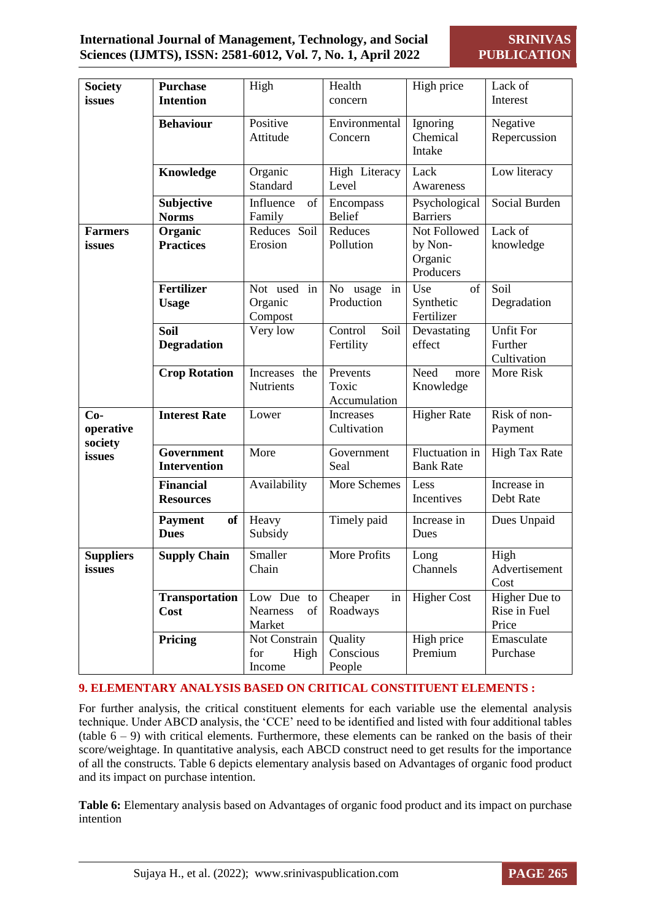| <b>Society</b>                                    | <b>Purchase</b>                          | High                                          | Health                            | High price                                      | Lack of                                    |
|---------------------------------------------------|------------------------------------------|-----------------------------------------------|-----------------------------------|-------------------------------------------------|--------------------------------------------|
| issues                                            | <b>Intention</b>                         |                                               | concern                           |                                                 | Interest                                   |
|                                                   | <b>Behaviour</b>                         | Positive<br>Attitude                          | Environmental<br>Concern          | Ignoring<br>Chemical<br>Intake                  | Negative<br>Repercussion                   |
|                                                   | Knowledge                                | Organic<br>Standard                           | High Literacy<br>Level            | Lack<br>Awareness                               | Low literacy                               |
|                                                   | Subjective<br><b>Norms</b>               | Influence<br>of<br>Family                     | Encompass<br><b>Belief</b>        | Psychological<br><b>Barriers</b>                | Social Burden                              |
| <b>Farmers</b><br>issues                          | Organic<br><b>Practices</b>              | Reduces Soil<br>Erosion                       | Reduces<br>Pollution              | Not Followed<br>by Non-<br>Organic<br>Producers | Lack of<br>knowledge                       |
|                                                   | <b>Fertilizer</b><br><b>Usage</b>        | Not used in<br>Organic<br>Compost             | No usage<br>in<br>Production      | of<br>Use<br>Synthetic<br>Fertilizer            | Soil<br>Degradation                        |
|                                                   | <b>Soil</b><br><b>Degradation</b>        | Very low                                      | Control<br>Soil<br>Fertility      | Devastating<br>effect                           | <b>Unfit For</b><br>Further<br>Cultivation |
|                                                   | <b>Crop Rotation</b>                     | Increases the<br>Nutrients                    | Prevents<br>Toxic<br>Accumulation | Need<br>more<br>Knowledge                       | More Risk                                  |
| $Co-$<br>operative<br>society                     | <b>Interest Rate</b>                     | Lower                                         | Increases<br>Cultivation          | <b>Higher Rate</b>                              | Risk of non-<br>Payment                    |
| issues                                            | <b>Government</b><br><b>Intervention</b> | More                                          | Government<br>Seal                | Fluctuation in<br><b>Bank Rate</b>              | <b>High Tax Rate</b>                       |
|                                                   | <b>Financial</b><br><b>Resources</b>     | Availability                                  | More Schemes                      | Less<br>Incentives                              | Increase in<br>Debt Rate                   |
|                                                   | <b>Payment</b><br>of<br><b>Dues</b>      | Heavy<br>Subsidy                              | Timely paid                       | Increase in<br>Dues                             | Dues Unpaid                                |
| <b>Supply Chain</b><br><b>Suppliers</b><br>issues |                                          | Smaller<br>Chain                              | More Profits                      | Long<br>Channels                                | High<br>Advertisement<br>Cost              |
|                                                   | <b>Transportation</b><br>Cost            | Low Due to<br><b>Nearness</b><br>of<br>Market | Cheaper<br>in<br>Roadways         | <b>Higher Cost</b>                              | Higher Due to<br>Rise in Fuel<br>Price     |
|                                                   | Pricing                                  | Not Constrain<br>for<br>High<br>Income        | Quality<br>Conscious<br>People    | High price<br>Premium                           | Emasculate<br>Purchase                     |

## **9. ELEMENTARY ANALYSIS BASED ON CRITICAL CONSTITUENT ELEMENTS :**

For further analysis, the critical constituent elements for each variable use the elemental analysis technique. Under ABCD analysis, the 'CCE' need to be identified and listed with four additional tables (table  $6 - 9$ ) with critical elements. Furthermore, these elements can be ranked on the basis of their score/weightage. In quantitative analysis, each ABCD construct need to get results for the importance of all the constructs. Table 6 depicts elementary analysis based on Advantages of organic food product and its impact on purchase intention.

**Table 6:** Elementary analysis based on Advantages of organic food product and its impact on purchase intention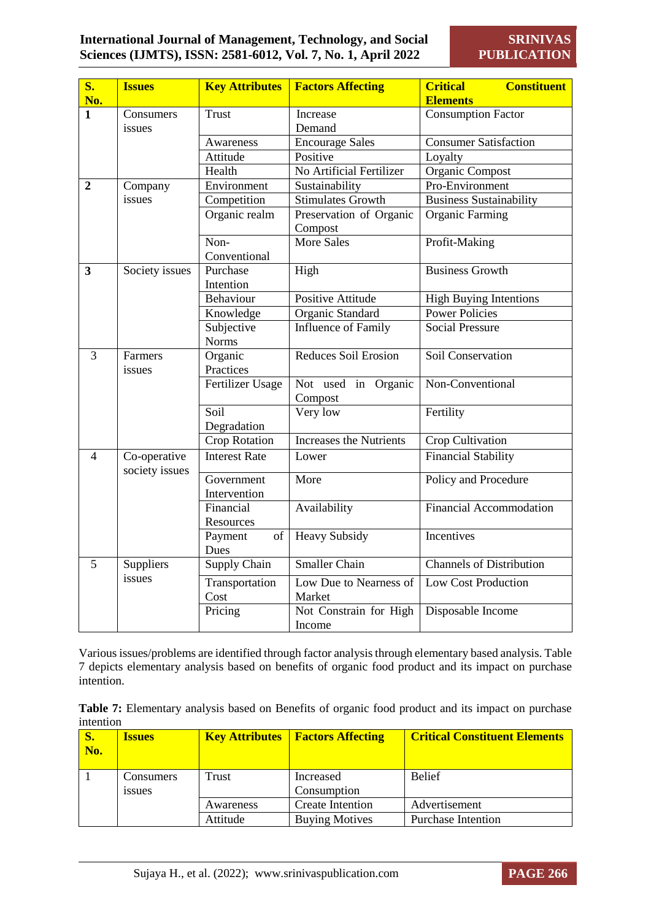| $S_{\bullet}$<br>No. | <b>Issues</b>                  | <b>Key Attributes</b>      | <b>Factors Affecting</b>           | <b>Constituent</b><br><b>Critical</b><br><b>Elements</b> |
|----------------------|--------------------------------|----------------------------|------------------------------------|----------------------------------------------------------|
| 1                    | Consumers                      | <b>Trust</b>               | Increase                           | <b>Consumption Factor</b>                                |
|                      | issues                         |                            | Demand                             |                                                          |
|                      |                                | Awareness                  | <b>Encourage Sales</b>             | <b>Consumer Satisfaction</b>                             |
|                      |                                | Attitude                   | Positive                           | Loyalty                                                  |
|                      |                                | Health                     | No Artificial Fertilizer           | Organic Compost                                          |
| $\overline{2}$       | Company                        | Environment                | Sustainability                     | Pro-Environment                                          |
|                      | issues                         | Competition                | <b>Stimulates Growth</b>           | <b>Business Sustainability</b>                           |
|                      |                                | Organic realm              | Preservation of Organic<br>Compost | <b>Organic Farming</b>                                   |
|                      |                                | Non-                       | <b>More Sales</b>                  | Profit-Making                                            |
|                      |                                | Conventional               |                                    |                                                          |
| 3                    | Society issues                 | Purchase<br>Intention      | High                               | <b>Business Growth</b>                                   |
|                      |                                | Behaviour                  | Positive Attitude                  | <b>High Buying Intentions</b>                            |
|                      |                                | Knowledge                  | Organic Standard                   | <b>Power Policies</b>                                    |
|                      |                                | Subjective                 | Influence of Family                | <b>Social Pressure</b>                                   |
|                      |                                | <b>Norms</b>               |                                    |                                                          |
| 3                    | Farmers<br>issues              | Organic<br>Practices       | Reduces Soil Erosion               | Soil Conservation                                        |
|                      |                                | Fertilizer Usage           | Not used in Organic<br>Compost     | Non-Conventional                                         |
|                      |                                | Soil<br>Degradation        | Very low                           | Fertility                                                |
|                      |                                | <b>Crop Rotation</b>       | <b>Increases the Nutrients</b>     | Crop Cultivation                                         |
| 4                    | Co-operative<br>society issues | <b>Interest Rate</b>       | Lower                              | <b>Financial Stability</b>                               |
|                      |                                | Government<br>Intervention | More                               | Policy and Procedure                                     |
|                      |                                | Financial<br>Resources     | Availability                       | <b>Financial Accommodation</b>                           |
|                      |                                | Payment<br>of<br>Dues      | <b>Heavy Subsidy</b>               | Incentives                                               |
| 5                    | Suppliers                      | Supply Chain               | <b>Smaller Chain</b>               | <b>Channels of Distribution</b>                          |
|                      | issues                         | Transportation<br>Cost     | Low Due to Nearness of<br>Market   | Low Cost Production                                      |
|                      |                                | Pricing                    | Not Constrain for High<br>Income   | Disposable Income                                        |

Various issues/problems are identified through factor analysis through elementary based analysis. Table 7 depicts elementary analysis based on benefits of organic food product and its impact on purchase intention.

**Table 7:** Elementary analysis based on Benefits of organic food product and its impact on purchase intention

| <b>S.</b><br>No. | <b>Issues</b>              |           | <b>Key Attributes   Factors Affecting</b> | <b>Critical Constituent Elements</b> |
|------------------|----------------------------|-----------|-------------------------------------------|--------------------------------------|
|                  | Consumers<br><i>s</i> sues | Trust     | Increased<br>Consumption                  | <b>Belief</b>                        |
|                  |                            | Awareness | <b>Create Intention</b>                   | Advertisement                        |
|                  |                            | Attitude  | <b>Buying Motives</b>                     | <b>Purchase Intention</b>            |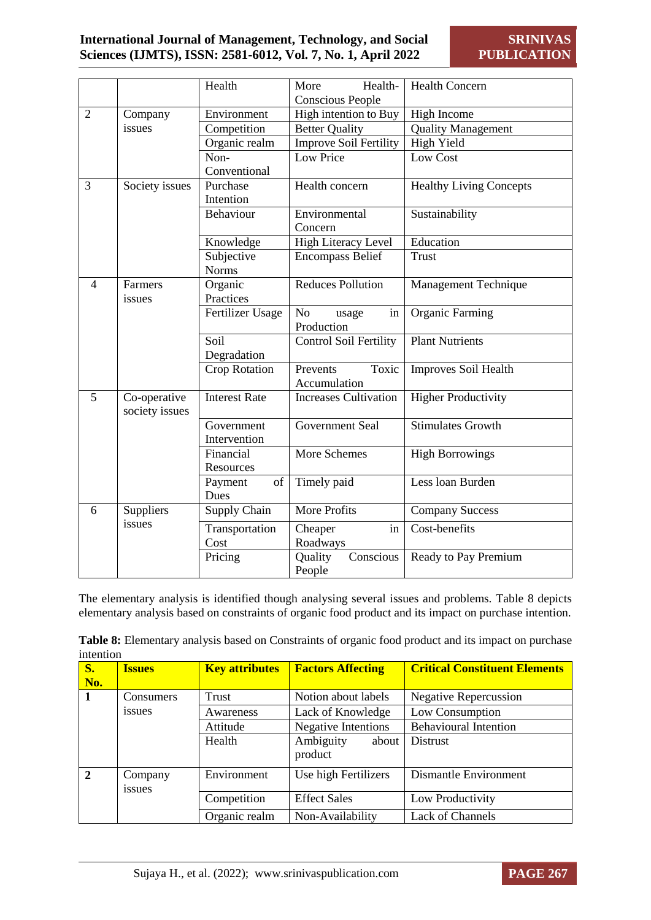|                |                | Health               | Health-<br>More               | <b>Health Concern</b>          |
|----------------|----------------|----------------------|-------------------------------|--------------------------------|
|                |                |                      | <b>Conscious People</b>       |                                |
| $\overline{2}$ | Company        | Environment          | High intention to Buy         | High Income                    |
|                | issues         | Competition          | <b>Better Quality</b>         | <b>Quality Management</b>      |
|                |                | Organic realm        | <b>Improve Soil Fertility</b> | <b>High Yield</b>              |
|                |                | Non-                 | Low Price                     | Low Cost                       |
|                |                | Conventional         |                               |                                |
| 3              | Society issues | Purchase             | Health concern                | <b>Healthy Living Concepts</b> |
|                |                | Intention            |                               |                                |
|                |                | Behaviour            | Environmental                 | Sustainability                 |
|                |                |                      | Concern                       |                                |
|                |                | Knowledge            | <b>High Literacy Level</b>    | Education                      |
|                |                | Subjective           | <b>Encompass Belief</b>       | <b>Trust</b>                   |
|                |                | <b>Norms</b>         |                               |                                |
| $\overline{4}$ | Farmers        | Organic              | <b>Reduces Pollution</b>      | Management Technique           |
|                | issues         | Practices            |                               |                                |
|                |                | Fertilizer Usage     | N <sub>o</sub><br>in<br>usage | <b>Organic Farming</b>         |
|                |                |                      | Production                    |                                |
|                |                | Soil                 | Control Soil Fertility        | <b>Plant Nutrients</b>         |
|                |                | Degradation          |                               |                                |
|                |                | <b>Crop Rotation</b> | Toxic<br>Prevents             | Improves Soil Health           |
|                |                |                      | Accumulation                  |                                |
| 5              | Co-operative   | <b>Interest Rate</b> | <b>Increases Cultivation</b>  | <b>Higher Productivity</b>     |
|                | society issues |                      |                               |                                |
|                |                | Government           | Government Seal               | <b>Stimulates Growth</b>       |
|                |                | Intervention         |                               |                                |
|                |                | Financial            | More Schemes                  | <b>High Borrowings</b>         |
|                |                | Resources            |                               |                                |
|                |                | Payment<br>of        | Timely paid                   | Less loan Burden               |
|                |                | Dues                 |                               |                                |
| 6              | Suppliers      | Supply Chain         | More Profits                  | <b>Company Success</b>         |
|                | issues         | Transportation       | Cheaper<br>in                 | Cost-benefits                  |
|                |                | Cost                 | Roadways                      |                                |
|                |                | Pricing              | Quality<br>Conscious          | Ready to Pay Premium           |
|                |                |                      | People                        |                                |

The elementary analysis is identified though analysing several issues and problems. Table 8 depicts elementary analysis based on constraints of organic food product and its impact on purchase intention.

|           |  |  | Table 8: Elementary analysis based on Constraints of organic food product and its impact on purchase |  |  |
|-----------|--|--|------------------------------------------------------------------------------------------------------|--|--|
| intention |  |  |                                                                                                      |  |  |

| <b>S.</b><br>No. | <b>Issues</b>     | <b>Key attributes</b> | <b>Factors Affecting</b>      | <b>Critical Constituent Elements</b> |
|------------------|-------------------|-----------------------|-------------------------------|--------------------------------------|
| 1                | Consumers         | Trust                 | Notion about labels           | <b>Negative Repercussion</b>         |
|                  | issues            | Awareness             | Lack of Knowledge             | Low Consumption                      |
|                  |                   | Attitude              | <b>Negative Intentions</b>    | <b>Behavioural Intention</b>         |
|                  |                   | Health                | Ambiguity<br>about<br>product | <b>Distrust</b>                      |
| $\overline{2}$   | Company<br>issues | Environment           | Use high Fertilizers          | Dismantle Environment                |
|                  |                   | Competition           | <b>Effect Sales</b>           | Low Productivity                     |
|                  |                   | Organic realm         | Non-Availability              | Lack of Channels                     |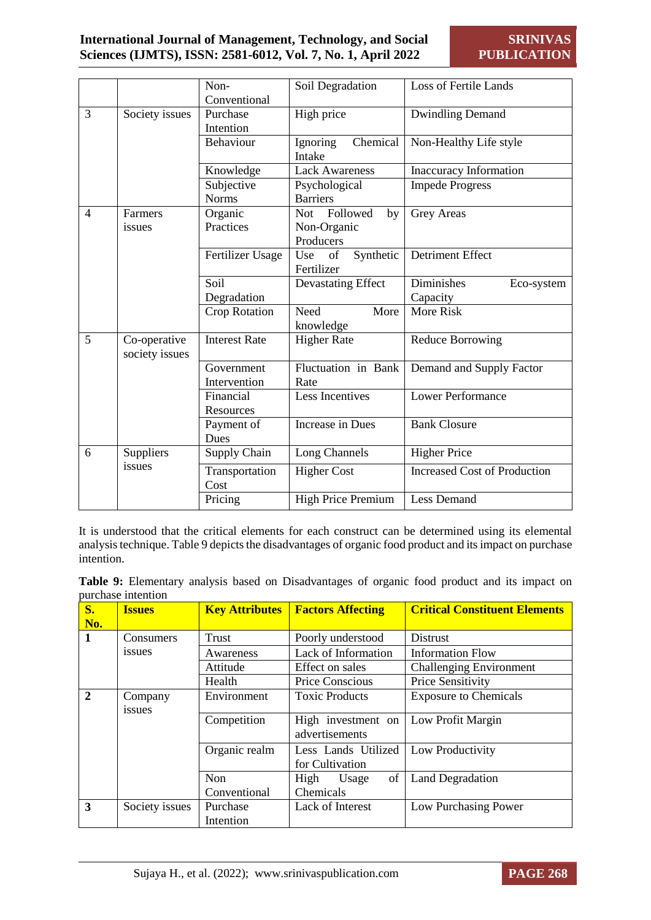|                |                                | Non-<br>Conventional       | Soil Degradation                                  | <b>Loss of Fertile Lands</b>         |
|----------------|--------------------------------|----------------------------|---------------------------------------------------|--------------------------------------|
| $\overline{3}$ | Society issues                 | Purchase<br>Intention      | High price                                        | <b>Dwindling Demand</b>              |
|                |                                | Behaviour                  | Chemical<br>Ignoring<br>Intake                    | Non-Healthy Life style               |
|                |                                | Knowledge                  | <b>Lack Awareness</b>                             | <b>Inaccuracy Information</b>        |
|                |                                | Subjective<br><b>Norms</b> | Psychological<br><b>Barriers</b>                  | <b>Impede Progress</b>               |
| $\overline{4}$ | Farmers<br>issues              | Organic<br>Practices       | Followed<br>Not<br>by<br>Non-Organic<br>Producers | Grey Areas                           |
|                |                                | Fertilizer Usage           | Synthetic<br>Use<br>of<br>Fertilizer              | <b>Detriment Effect</b>              |
|                |                                | Soil<br>Degradation        | Devastating Effect                                | Diminishes<br>Eco-system<br>Capacity |
|                |                                | <b>Crop Rotation</b>       | Need<br>More<br>knowledge                         | More Risk                            |
| 5              | Co-operative<br>society issues | <b>Interest Rate</b>       | <b>Higher Rate</b>                                | Reduce Borrowing                     |
|                |                                | Government<br>Intervention | Fluctuation in Bank<br>Rate                       | Demand and Supply Factor             |
|                |                                | Financial<br>Resources     | Less Incentives                                   | <b>Lower Performance</b>             |
|                |                                | Payment of<br>Dues         | <b>Increase in Dues</b>                           | <b>Bank Closure</b>                  |
| 6              | Suppliers                      | Supply Chain               | Long Channels                                     | <b>Higher Price</b>                  |
|                | issues                         | Transportation<br>Cost     | <b>Higher Cost</b>                                | <b>Increased Cost of Production</b>  |
|                |                                | Pricing                    | <b>High Price Premium</b>                         | <b>Less Demand</b>                   |

It is understood that the critical elements for each construct can be determined using its elemental analysis technique. Table 9 depicts the disadvantages of organic food product and its impact on purchase intention.

|                    |  |  | Table 9: Elementary analysis based on Disadvantages of organic food product and its impact on |  |  |  |  |
|--------------------|--|--|-----------------------------------------------------------------------------------------------|--|--|--|--|
| purchase intention |  |  |                                                                                               |  |  |  |  |

| $S_{\bullet}$<br>No. | <b>Issues</b>     | <b>Key Attributes</b> | <b>Factors Affecting</b>               | <b>Critical Constituent Elements</b> |
|----------------------|-------------------|-----------------------|----------------------------------------|--------------------------------------|
| 1                    | Consumers         | Trust                 | Poorly understood                      | <b>Distrust</b>                      |
|                      | issues            | Awareness             | Lack of Information                    | <b>Information Flow</b>              |
|                      |                   | Attitude              | Effect on sales                        | <b>Challenging Environment</b>       |
|                      |                   | Health                | Price Conscious                        | Price Sensitivity                    |
| $\mathbf{2}$         | Company<br>issues | Environment           | <b>Toxic Products</b>                  | <b>Exposure to Chemicals</b>         |
|                      |                   | Competition           | High investment on<br>advertisements   | Low Profit Margin                    |
|                      |                   | Organic realm         | Less Lands Utilized<br>for Cultivation | Low Productivity                     |
|                      |                   | Non<br>Conventional   | of<br>High<br>Usage<br>Chemicals       | <b>Land Degradation</b>              |
| 3                    | Society issues    | Purchase<br>Intention | Lack of Interest                       | Low Purchasing Power                 |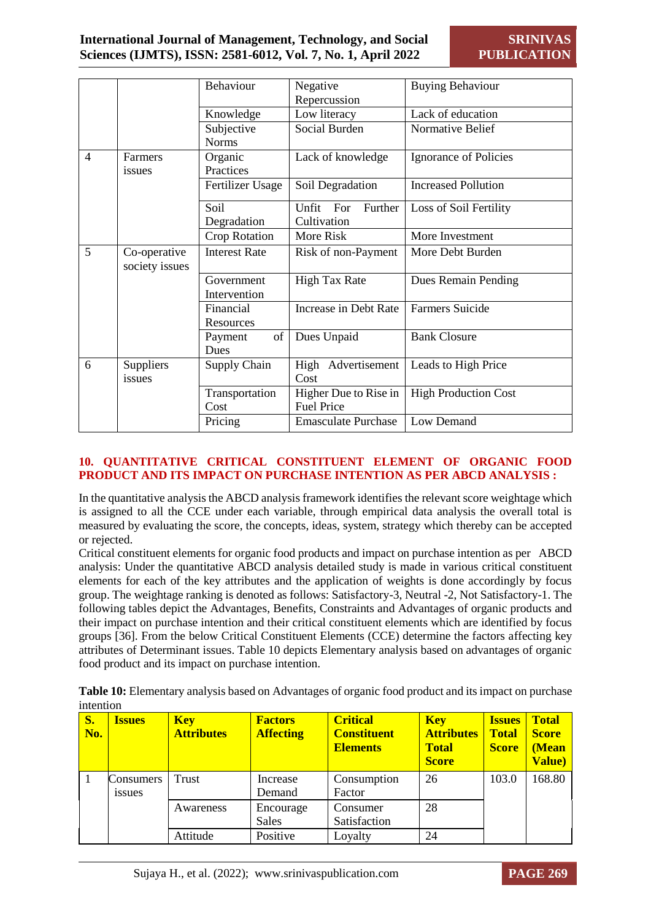|                |                                | Behaviour                  | Negative                   | <b>Buying Behaviour</b>     |
|----------------|--------------------------------|----------------------------|----------------------------|-----------------------------|
|                |                                |                            |                            |                             |
|                |                                |                            | Repercussion               |                             |
|                |                                | Knowledge                  | Low literacy               | Lack of education           |
|                |                                | Subjective                 | Social Burden              | Normative Belief            |
|                |                                | <b>Norms</b>               |                            |                             |
| $\overline{4}$ | Farmers                        | Organic                    | Lack of knowledge          | Ignorance of Policies       |
|                | issues                         | Practices                  |                            |                             |
|                |                                | Fertilizer Usage           | Soil Degradation           | <b>Increased Pollution</b>  |
|                |                                | Soil                       | Unfit<br>For<br>Further    | Loss of Soil Fertility      |
|                |                                | Degradation                | Cultivation                |                             |
|                |                                | Crop Rotation              | More Risk                  | More Investment             |
| 5              | Co-operative<br>society issues | <b>Interest Rate</b>       | Risk of non-Payment        | More Debt Burden            |
|                |                                | Government<br>Intervention | <b>High Tax Rate</b>       | Dues Remain Pending         |
|                |                                | Financial                  | Increase in Debt Rate      | <b>Farmers Suicide</b>      |
|                |                                | Resources                  |                            |                             |
|                |                                | of<br>Payment              | Dues Unpaid                | <b>Bank Closure</b>         |
|                |                                | Dues                       |                            |                             |
| 6              | Suppliers                      | Supply Chain               | High Advertisement         | Leads to High Price         |
|                | issues                         |                            | Cost                       |                             |
|                |                                | Transportation             | Higher Due to Rise in      | <b>High Production Cost</b> |
|                |                                | Cost                       | <b>Fuel Price</b>          |                             |
|                |                                | Pricing                    | <b>Emasculate Purchase</b> | Low Demand                  |

#### **10. QUANTITATIVE CRITICAL CONSTITUENT ELEMENT OF ORGANIC FOOD PRODUCT AND ITS IMPACT ON PURCHASE INTENTION AS PER ABCD ANALYSIS :**

In the quantitative analysis the ABCD analysis framework identifies the relevant score weightage which is assigned to all the CCE under each variable, through empirical data analysis the overall total is measured by evaluating the score, the concepts, ideas, system, strategy which thereby can be accepted or rejected.

Critical constituent elements for organic food products and impact on purchase intention as per ABCD analysis: Under the quantitative ABCD analysis detailed study is made in various critical constituent elements for each of the key attributes and the application of weights is done accordingly by focus group. The weightage ranking is denoted as follows: Satisfactory-3, Neutral -2, Not Satisfactory-1. The following tables depict the Advantages, Benefits, Constraints and Advantages of organic products and their impact on purchase intention and their critical constituent elements which are identified by focus groups [36]. From the below Critical Constituent Elements (CCE) determine the factors affecting key attributes of Determinant issues. Table 10 depicts Elementary analysis based on advantages of organic food product and its impact on purchase intention.

| S.<br>No. | <b>Issues</b>       | <b>Key</b><br><b>Attributes</b> | <b>Factors</b><br><b>Affecting</b> | <b>Critical</b><br><b>Constituent</b><br><b>Elements</b> | <b>Key</b><br><b>Attributes</b><br><b>Total</b><br><b>Score</b> | <b>Issues</b><br><b>Total</b><br><b>Score</b> | <b>Total</b><br><b>Score</b><br>(Mean<br><b>Value</b> ) |
|-----------|---------------------|---------------------------------|------------------------------------|----------------------------------------------------------|-----------------------------------------------------------------|-----------------------------------------------|---------------------------------------------------------|
|           | Consumers<br>issues | Trust                           | Increase<br>Demand                 | Consumption<br>Factor                                    | 26                                                              | 103.0                                         | 168.80                                                  |
|           |                     | Awareness                       | Encourage<br><b>Sales</b>          | Consumer<br>Satisfaction                                 | 28                                                              |                                               |                                                         |
|           |                     | Attitude                        | Positive                           | Loyalty                                                  | 24                                                              |                                               |                                                         |

**Table 10:** Elementary analysis based on Advantages of organic food product and its impact on purchase intention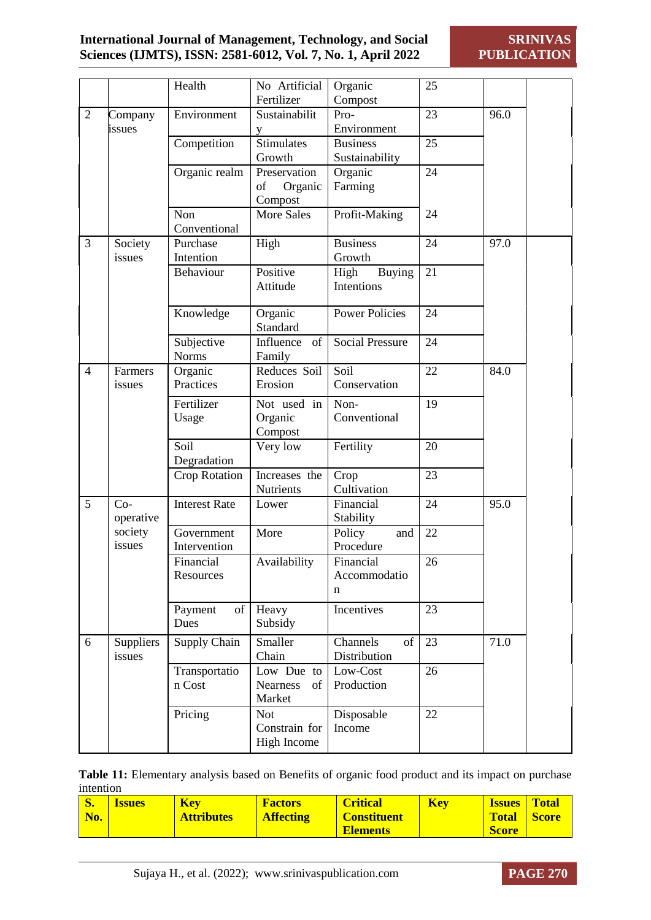## **International Journal of Management, Technology, and Social Sciences (IJMTS), ISSN: 2581-6012, Vol. 7, No. 1, April 2022**

**SRINIVAS PUBLICATION**

|                |                     | Health                     | No Artificial<br>Fertilizer                   | Organic<br>Compost                  | 25 |      |
|----------------|---------------------|----------------------------|-----------------------------------------------|-------------------------------------|----|------|
| $\mathfrak{2}$ | Company<br>issues   | Environment                | Sustainabilit<br>y                            | Pro-<br>Environment                 | 23 | 96.0 |
|                |                     | Competition                | Stimulates<br>Growth                          | <b>Business</b><br>Sustainability   | 25 |      |
|                |                     | Organic realm              | Preservation<br>Organic<br>of<br>Compost      | Organic<br>Farming                  | 24 |      |
|                |                     | Non<br>Conventional        | <b>More Sales</b>                             | Profit-Making                       | 24 |      |
| 3              | Society<br>issues   | Purchase<br>Intention      | High                                          | <b>Business</b><br>Growth           | 24 | 97.0 |
|                |                     | Behaviour                  | Positive<br>Attitude                          | High<br><b>Buying</b><br>Intentions | 21 |      |
|                |                     | Knowledge                  | Organic<br>Standard                           | <b>Power Policies</b>               | 24 |      |
|                |                     | Subjective<br><b>Norms</b> | Influence<br>of<br>Family                     | <b>Social Pressure</b>              | 24 |      |
| $\overline{4}$ | Farmers<br>issues   | Organic<br>Practices       | Reduces Soil<br>Erosion                       | Soil<br>Conservation                | 22 | 84.0 |
|                |                     | Fertilizer<br>Usage        | Not used in<br>Organic<br>Compost             | Non-<br>Conventional                | 19 |      |
|                |                     | Soil<br>Degradation        | Very low                                      | Fertility                           | 20 |      |
|                |                     | <b>Crop Rotation</b>       | Increases the<br>Nutrients                    | Crop<br>Cultivation                 | 23 |      |
| 5              | $Co-$<br>operative  | <b>Interest Rate</b>       | Lower                                         | Financial<br>Stability              | 24 | 95.0 |
|                | society<br>issues   | Government<br>Intervention | More                                          | Policy<br>and<br>Procedure          | 22 |      |
|                |                     | Financial<br>Resources     | Availability                                  | Financial<br>Accommodatio<br>n      | 26 |      |
|                |                     | Payment<br>of<br>Dues      | Heavy<br>Subsidy                              | Incentives                          | 23 |      |
| 6              | Suppliers<br>issues | Supply Chain               | Smaller<br>Chain                              | Channels<br>of<br>Distribution      | 23 | 71.0 |
|                |                     | Transportatio<br>n Cost    | Low Due to<br><b>Nearness</b><br>of<br>Market | Low-Cost<br>Production              | 26 |      |
|                |                     | Pricing                    | <b>Not</b><br>Constrain for<br>High Income    | Disposable<br>Income                | 22 |      |

**Table 11:** Elementary analysis based on Benefits of organic food product and its impact on purchase intention

| S.<br><b>Key</b><br><b>Factors</b><br><b>Issues</b><br>No.<br><b>Attributes</b><br><b>Affecting</b> | <b>Critical</b><br><b>Key</b><br><b>Constituent</b><br><b>Elements</b> | <b>Total</b><br><b>Issues</b><br>Total Score<br><b>Score</b> |
|-----------------------------------------------------------------------------------------------------|------------------------------------------------------------------------|--------------------------------------------------------------|
|-----------------------------------------------------------------------------------------------------|------------------------------------------------------------------------|--------------------------------------------------------------|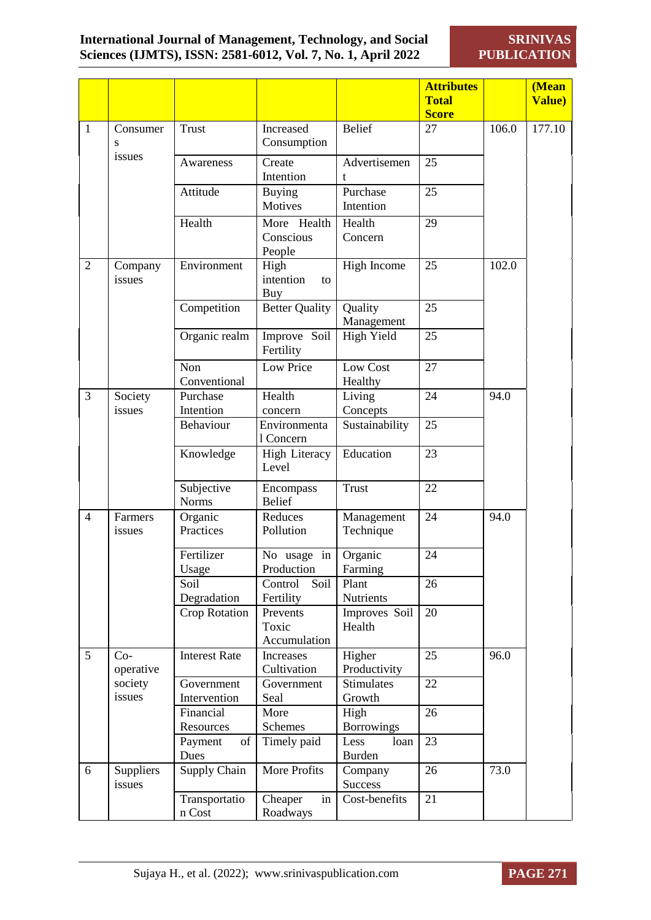**SRINIVAS PUBLICATION**

|                |                     |                            |                                   |                               | <b>Attributes</b> |       | (Mean          |
|----------------|---------------------|----------------------------|-----------------------------------|-------------------------------|-------------------|-------|----------------|
|                |                     |                            |                                   |                               | <b>Total</b>      |       | <b>Value</b> ) |
|                |                     |                            |                                   |                               | <b>Score</b>      |       |                |
| $\mathbf{1}$   | Consumer<br>S       | <b>Trust</b>               | Increased<br>Consumption          | <b>Belief</b>                 | 27                | 106.0 | 177.10         |
|                | issues              | Awareness                  | Create                            | Advertisemen                  | 25                |       |                |
|                |                     |                            | Intention                         | t                             |                   |       |                |
|                |                     | Attitude                   | <b>Buying</b>                     | Purchase                      | 25                |       |                |
|                |                     |                            | Motives                           | Intention                     |                   |       |                |
|                |                     | Health                     | More Health                       | Health                        | 29                |       |                |
|                |                     |                            | Conscious<br>People               | Concern                       |                   |       |                |
| $\overline{2}$ | Company<br>issues   | Environment                | High<br>intention<br>to<br>Buy    | High Income                   | 25                | 102.0 |                |
|                |                     | Competition                | <b>Better Quality</b>             | Quality<br>Management         | 25                |       |                |
|                |                     | Organic realm              | Improve Soil<br>Fertility         | High Yield                    | 25                |       |                |
|                |                     | Non                        | Low Price                         | Low Cost                      | 27                |       |                |
|                |                     | Conventional               |                                   | Healthy                       |                   |       |                |
| 3              | Society             | Purchase                   | Health                            | Living                        | 24                | 94.0  |                |
|                | issues              | Intention                  | concern                           | Concepts                      |                   |       |                |
|                |                     | Behaviour                  | Environmenta<br>1 Concern         | Sustainability                | 25                |       |                |
|                |                     | Knowledge                  | <b>High Literacy</b><br>Level     | Education                     | 23                |       |                |
|                |                     | Subjective<br><b>Norms</b> | Encompass<br><b>Belief</b>        | <b>Trust</b>                  | 22                |       |                |
| $\overline{4}$ | Farmers<br>issues   | Organic<br>Practices       | Reduces<br>Pollution              | Management<br>Technique       | 24                | 94.0  |                |
|                |                     | Fertilizer<br>Usage        | No usage in<br>Production         | Organic<br>Farming            | 24                |       |                |
|                |                     | Soil<br>Degradation        | Soil<br>Control<br>Fertility      | Plant<br>Nutrients            | 26                |       |                |
|                |                     | <b>Crop Rotation</b>       | Prevents<br>Toxic<br>Accumulation | Improves Soil<br>Health       | 20                |       |                |
| 5              | $Co-$<br>operative  | <b>Interest Rate</b>       | Increases<br>Cultivation          | Higher<br>Productivity        | 25                | 96.0  |                |
|                | society<br>issues   | Government<br>Intervention | Government<br>Seal                | <b>Stimulates</b><br>Growth   | 22                |       |                |
|                |                     | Financial                  | More                              | High                          | 26                |       |                |
|                |                     | Resources                  | Schemes                           | <b>Borrowings</b>             |                   |       |                |
|                |                     | Payment<br>of<br>Dues      | Timely paid                       | Less<br>loan<br><b>Burden</b> | 23                |       |                |
| 6              | Suppliers<br>issues | Supply Chain               | More Profits                      | Company<br>Success            | 26                | 73.0  |                |
|                |                     | Transportatio<br>n Cost    | Cheaper<br>in<br>Roadways         | Cost-benefits                 | 21                |       |                |

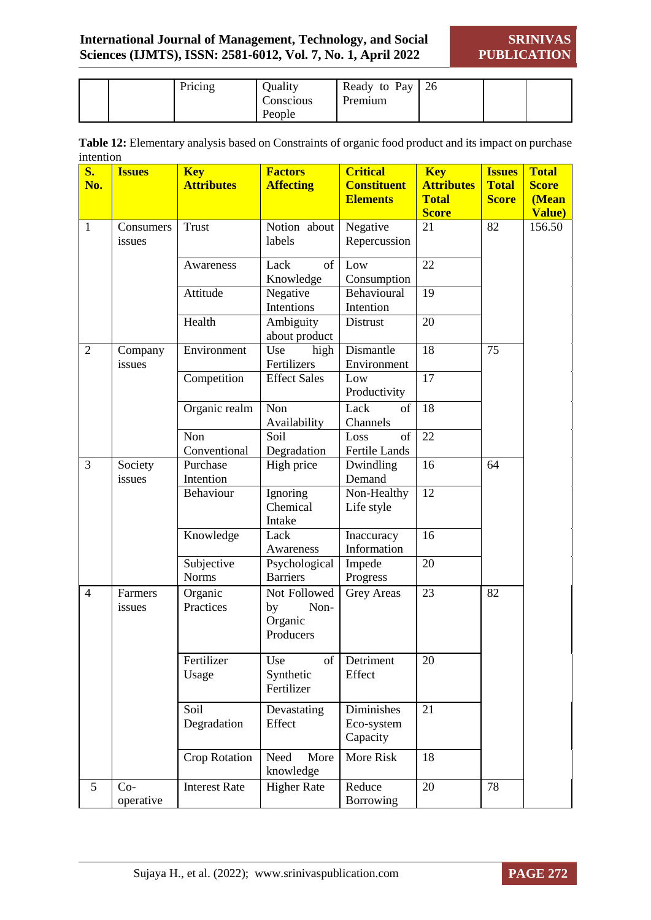**SRINIVAS PUBLICATION**

|  | Pricing | Quality   | Ready to Pay | <sup>26</sup> |  |
|--|---------|-----------|--------------|---------------|--|
|  |         | Conscious | Premium      |               |  |
|  |         | People    |              |               |  |

| Table 12: Elementary analysis based on Constraints of organic food product and its impact on purchase |  |
|-------------------------------------------------------------------------------------------------------|--|
| intention                                                                                             |  |

| $S_{\bullet}$  | <b>Issues</b> | <b>Key</b>           | <b>Factors</b>      | <b>Critical</b>    | <b>Key</b>        |              | <b>Total</b>         |
|----------------|---------------|----------------------|---------------------|--------------------|-------------------|--------------|----------------------|
| No.            |               | <b>Attributes</b>    | <b>Affecting</b>    | <b>Constituent</b> | <b>Attributes</b> |              | <b>Score</b>         |
|                |               |                      |                     | <b>Elements</b>    | <b>Total</b>      | <b>Score</b> | (Mean                |
|                |               |                      |                     |                    | <b>Score</b>      |              | Value)               |
| $\mathbf{1}$   | Consumers     | <b>Trust</b>         | Notion about        | Negative           | 21                | 82           | $\overline{1}$ 56.50 |
|                | issues        |                      | labels              | Repercussion       |                   |              |                      |
|                |               | Awareness            | of<br>Lack          | Low                | 22                |              |                      |
|                |               |                      | Knowledge           | Consumption        |                   |              |                      |
|                |               | Attitude             | Negative            | Behavioural        | 19                |              |                      |
|                |               |                      | Intentions          | Intention          |                   |              |                      |
|                |               | Health               | Ambiguity           | <b>Distrust</b>    | 20                |              |                      |
|                |               |                      | about product       |                    |                   |              |                      |
| $\overline{2}$ | Company       | Environment          | Use<br>high         | Dismantle          | 18                | 75           |                      |
|                | issues        |                      | Fertilizers         | Environment        |                   |              |                      |
|                |               | Competition          | <b>Effect Sales</b> | Low                | 17                |              |                      |
|                |               |                      |                     | Productivity       |                   |              |                      |
|                |               | Organic realm        | Non                 | Lack<br>of         | 18                |              |                      |
|                |               |                      | Availability        | Channels           |                   |              |                      |
|                |               | Non                  | Soil                | of<br>Loss         | 22                |              |                      |
|                |               | Conventional         | Degradation         | Fertile Lands      |                   |              |                      |
| 3              | Society       | Purchase             | High price          | Dwindling          | 16                | 64           |                      |
|                | issues        | Intention            |                     | Demand             |                   |              |                      |
|                |               | Behaviour            | Ignoring            | Non-Healthy        | 12                |              |                      |
|                |               |                      | Chemical            | Life style         |                   |              |                      |
|                |               |                      | Intake              |                    |                   |              |                      |
|                |               | Knowledge            | Lack                | Inaccuracy         | 16                |              |                      |
|                |               |                      | Awareness           | Information        |                   |              |                      |
|                |               | Subjective           | Psychological       | Impede             | 20                |              |                      |
|                |               | <b>Norms</b>         | <b>Barriers</b>     | Progress           |                   |              |                      |
| $\overline{4}$ | Farmers       | Organic              | Not Followed        | <b>Grey Areas</b>  | 23                | 82           |                      |
|                | issues        | Practices            | Non-<br>by          |                    |                   |              |                      |
|                |               |                      | Organic             |                    |                   |              |                      |
|                |               |                      | Producers           |                    |                   |              |                      |
|                |               | Fertilizer           | Use<br>of           | Detriment          | 20                |              |                      |
|                |               | Usage                | Synthetic           | Effect             |                   |              |                      |
|                |               |                      | Fertilizer          |                    |                   |              |                      |
|                |               |                      |                     |                    |                   |              |                      |
|                |               | Soil                 | Devastating         | Diminishes         | 21                |              |                      |
|                |               | Degradation          | Effect              | Eco-system         |                   |              |                      |
|                |               |                      |                     | Capacity           |                   |              |                      |
|                |               | <b>Crop Rotation</b> | Need<br>More        | More Risk          | 18                |              |                      |
|                |               |                      | knowledge           |                    |                   |              |                      |
| 5              | $Co-$         | <b>Interest Rate</b> | <b>Higher Rate</b>  | Reduce             | 20                | 78           |                      |
|                | operative     |                      |                     | <b>Borrowing</b>   |                   |              |                      |

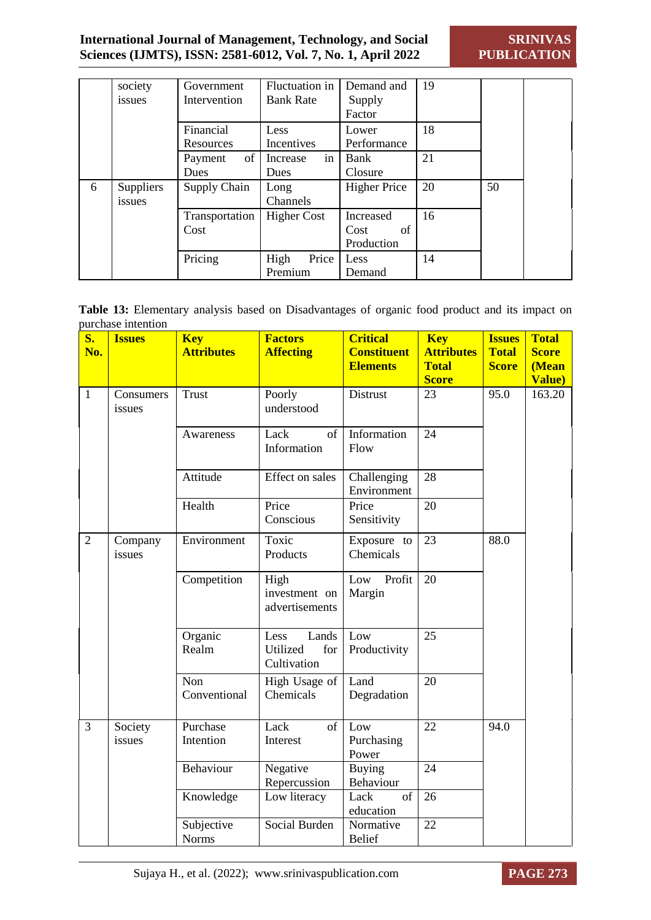|   | society<br>issues          | Government<br>Intervention | Fluctuation in<br><b>Bank Rate</b> | Demand and<br>Supply<br>Factor        | 19 |    |  |
|---|----------------------------|----------------------------|------------------------------------|---------------------------------------|----|----|--|
|   |                            | Financial<br>Resources     | Less<br>Incentives                 | Lower<br>Performance                  | 18 |    |  |
|   |                            | of<br>Payment<br>Dues      | in<br>Increase<br>Dues             | Bank<br>Closure                       | 21 |    |  |
| 6 | <b>Suppliers</b><br>issues | Supply Chain               | Long<br>Channels                   | <b>Higher Price</b>                   | 20 | 50 |  |
|   |                            | Transportation<br>Cost     | <b>Higher Cost</b>                 | Increased<br>of<br>Cost<br>Production | 16 |    |  |
|   |                            | Pricing                    | Price<br>High<br>Premium           | Less<br>Demand                        | 14 |    |  |

|                    |  | Table 13: Elementary analysis based on Disadvantages of organic food product and its impact on |  |  |  |  |
|--------------------|--|------------------------------------------------------------------------------------------------|--|--|--|--|
| purchase intention |  |                                                                                                |  |  |  |  |

| $S_{\bullet}$<br>No. | <b>Issues</b>       | <b>Key</b><br><b>Attributes</b> | <b>Factors</b><br><b>Affecting</b>              | <b>Critical</b><br><b>Constituent</b> | <b>Key</b><br><b>Attributes</b> | <b>Issues</b><br><b>Total</b> | <b>Total</b><br><b>Score</b> |
|----------------------|---------------------|---------------------------------|-------------------------------------------------|---------------------------------------|---------------------------------|-------------------------------|------------------------------|
|                      |                     |                                 |                                                 | <b>Elements</b>                       | <b>Total</b><br><b>Score</b>    | <b>Score</b>                  | (Mean<br><b>Value</b> )      |
| $\mathbf{1}$         | Consumers<br>issues | <b>Trust</b>                    | Poorly<br>understood                            | Distrust                              | 23                              | 95.0                          | 163.20                       |
|                      |                     | Awareness                       | Lack<br>of<br>Information                       | Information<br>Flow                   | 24                              |                               |                              |
|                      |                     | Attitude                        | Effect on sales                                 | Challenging<br>Environment            | 28                              |                               |                              |
|                      |                     | Health                          | Price<br>Conscious                              | Price<br>Sensitivity                  | 20                              |                               |                              |
| $\overline{2}$       | Company<br>issues   | Environment                     | Toxic<br>Products                               | Exposure to<br>Chemicals              | 23                              | 88.0                          |                              |
|                      |                     | Competition                     | High<br>investment on<br>advertisements         | Profit<br>Low<br>Margin               | 20                              |                               |                              |
|                      |                     | Organic<br>Realm                | Lands<br>Less<br>Utilized<br>for<br>Cultivation | Low<br>Productivity                   | 25                              |                               |                              |
|                      |                     | Non<br>Conventional             | High Usage of<br>Chemicals                      | Land<br>Degradation                   | 20                              |                               |                              |
| 3                    | Society<br>issues   | Purchase<br>Intention           | Lack<br>of<br>Interest                          | Low<br>Purchasing<br>Power            | 22                              | 94.0                          |                              |
|                      |                     | Behaviour                       | Negative<br>Repercussion                        | <b>Buying</b><br>Behaviour            | 24                              |                               |                              |
|                      |                     | Knowledge                       | Low literacy                                    | Lack<br>of<br>education               | 26                              |                               |                              |
|                      |                     | Subjective<br><b>Norms</b>      | Social Burden                                   | Normative<br><b>Belief</b>            | 22                              |                               |                              |

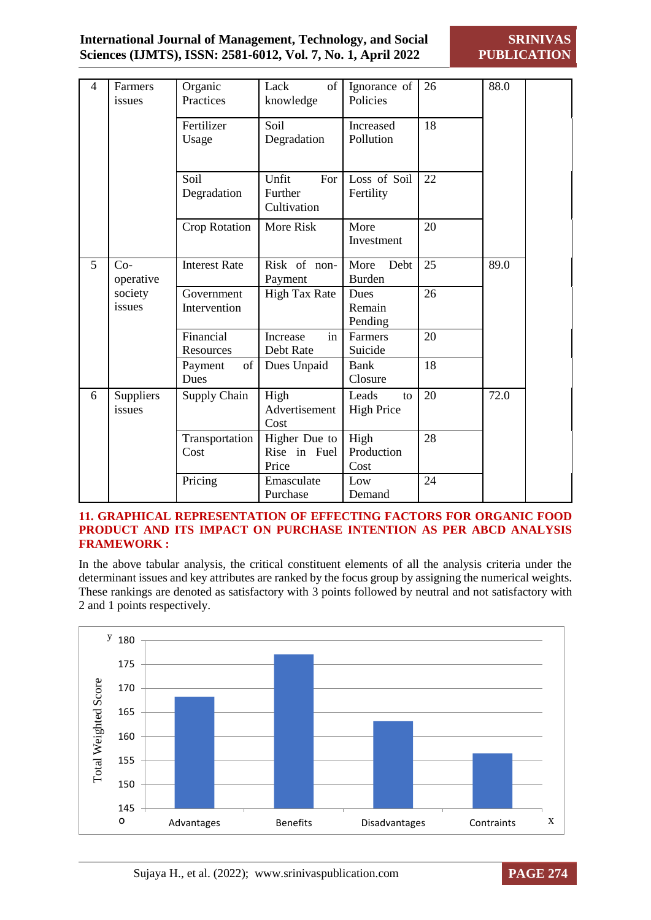| 4 | Farmers<br>issues   | Organic<br>Practices       | of<br>Lack<br>knowledge                | Ignorance of<br>Policies         | 26 | 88.0 |
|---|---------------------|----------------------------|----------------------------------------|----------------------------------|----|------|
|   |                     | Fertilizer<br>Usage        | Soil<br>Degradation                    | Increased<br>Pollution           | 18 |      |
|   |                     | Soil<br>Degradation        | Unfit<br>For<br>Further<br>Cultivation | Loss of Soil<br>Fertility        | 22 |      |
|   |                     | Crop Rotation              | More Risk                              | More<br>Investment               | 20 |      |
| 5 | $Co-$<br>operative  | <b>Interest Rate</b>       | Risk of non-<br>Payment                | More<br>Debt<br><b>Burden</b>    | 25 | 89.0 |
|   | society<br>issues   | Government<br>Intervention | <b>High Tax Rate</b>                   | Dues<br>Remain<br>Pending        | 26 |      |
|   |                     | Financial<br>Resources     | in<br>Increase<br>Debt Rate            | Farmers<br>Suicide               | 20 |      |
|   |                     | of<br>Payment<br>Dues      | Dues Unpaid                            | <b>Bank</b><br>Closure           | 18 |      |
| 6 | Suppliers<br>issues | Supply Chain               | High<br>Advertisement<br>Cost          | Leads<br>to<br><b>High Price</b> | 20 | 72.0 |
|   |                     | Transportation<br>Cost     | Higher Due to<br>Rise in Fuel<br>Price | High<br>Production<br>Cost       | 28 |      |
|   |                     | Pricing                    | Emasculate<br>Purchase                 | Low<br>Demand                    | 24 |      |

#### **11. GRAPHICAL REPRESENTATION OF EFFECTING FACTORS FOR ORGANIC FOOD PRODUCT AND ITS IMPACT ON PURCHASE INTENTION AS PER ABCD ANALYSIS FRAMEWORK :**

In the above tabular analysis, the critical constituent elements of all the analysis criteria under the determinant issues and key attributes are ranked by the focus group by assigning the numerical weights. These rankings are denoted as satisfactory with 3 points followed by neutral and not satisfactory with 2 and 1 points respectively.

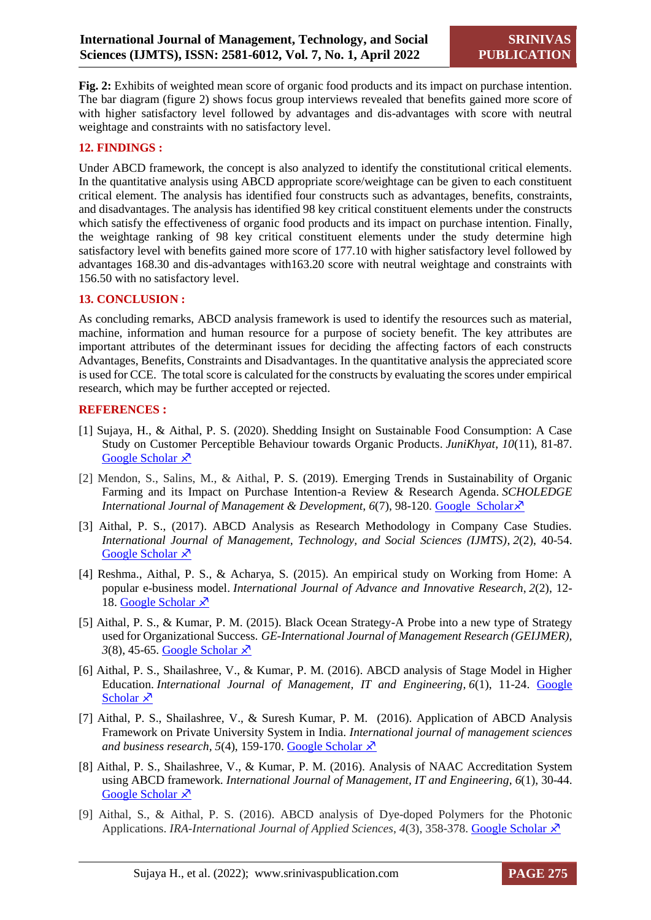**Fig. 2:** Exhibits of weighted mean score of organic food products and its impact on purchase intention. The bar diagram (figure 2) shows focus group interviews revealed that benefits gained more score of with higher satisfactory level followed by advantages and dis-advantages with score with neutral weightage and constraints with no satisfactory level.

#### **12. FINDINGS :**

Under ABCD framework, the concept is also analyzed to identify the constitutional critical elements. In the quantitative analysis using ABCD appropriate score/weightage can be given to each constituent critical element. The analysis has identified four constructs such as advantages, benefits, constraints, and disadvantages. The analysis has identified 98 key critical constituent elements under the constructs which satisfy the effectiveness of organic food products and its impact on purchase intention. Finally, the weightage ranking of 98 key critical constituent elements under the study determine high satisfactory level with benefits gained more score of 177.10 with higher satisfactory level followed by advantages 168.30 and dis-advantages with163.20 score with neutral weightage and constraints with 156.50 with no satisfactory level.

#### **13. CONCLUSION :**

As concluding remarks, ABCD analysis framework is used to identify the resources such as material, machine, information and human resource for a purpose of society benefit. The key attributes are important attributes of the determinant issues for deciding the affecting factors of each constructs Advantages, Benefits, Constraints and Disadvantages. In the quantitative analysis the appreciated score is used for CCE. The total score is calculated for the constructs by evaluating the scores under empirical research, which may be further accepted or rejected.

#### **REFERENCES :**

- [1] Sujaya, H., & Aithal, P. S. (2020). Shedding Insight on Sustainable Food Consumption: A Case Study on Customer Perceptible Behaviour towards Organic Products. *JuniKhyat*, *10*(11), 81-87. [Google Scholar](https://mpra.ub.uni-muenchen.de/104008/1/MPRA_paper_104008.pdf) X
- [2] Mendon, S., Salins, M., & Aithal, P. S. (2019). Emerging Trends in Sustainability of Organic Farming and its Impact on Purchase Intention-a Review & Research Agenda. *SCHOLEDGE International Journal of Management & Development*,  $6(7)$ , 98-120. [Google Scholar](https://papers.ssrn.com/sol3/papers.cfm?abstract_id=3512860)  $\overline{X}$
- [3] Aithal, P. S., (2017). ABCD Analysis as Research Methodology in Company Case Studies. *International Journal of Management, Technology, and Social Sciences (IJMTS)*, *2*(2), 40-54. [Google Scholar](https://www.researchgate.net/publication/319964884_ABCD_Analysis_as_Research_Methodology_in_Company_Case_Studies)  $\lambda$
- [4] Reshma., Aithal, P. S., & Acharya, S. (2015). An empirical study on Working from Home: A popular e-business model. *International Journal of Advance and Innovative Research*, *2*(2), 12- 18. [Google Scholar](https://www.researchgate.net/publication/281524771_AN_EMPIRICAL_STUDY_ON_WORKING_FROM_HOME_A_POPULAR_E-BUSINESS_MODEL)  $\lambda$
- [5] Aithal, P. S., & Kumar, P. M. (2015). Black Ocean Strategy-A Probe into a new type of Strategy used for Organizational Success. *GE-International Journal of Management Research (GEIJMER),*  $3(8)$ , 45-65. [Google Scholar](https://www.researchgate.net/publication/319964884_ABCD_Analysis_as_Research_Methodology_in_Company_Case_Studies)  $\overline{X}$
- [6] Aithal, P. S., Shailashree, V., & Kumar, P. M. (2016). ABCD analysis of Stage Model in Higher Education. *International Journal of Management, IT and Engineering*, *6*(1), 11-24. [Google](https://papers.ssrn.com/sol3/papers.cfm?abstract_id=2779061)  [Scholar](https://papers.ssrn.com/sol3/papers.cfm?abstract_id=2779061)  $\lambda$
- [7] Aithal, P. S., Shailashree, V., & Suresh Kumar, P. M. (2016). Application of ABCD Analysis Framework on Private University System in India. *International journal of management sciences and business research, 5(4), 159-170. Google Scholar*  $\lambda$ <sup>7</sup>
- [8] Aithal, P. S., Shailashree, V., & Kumar, P. M. (2016). Analysis of NAAC Accreditation System using ABCD framework. *International Journal of Management, IT and Engineering*, *6*(1), 30-44. [Google Scholar](https://papers.ssrn.com/sol3/papers.cfm?abstract_id=2779110)  $\lambda$
- [9] Aithal, S., & Aithal, P. S. (2016). ABCD analysis of Dye-doped Polymers for the Photonic Applications. *IRA-International Journal of Applied Sciences*, 4(3), 358-378. [Google Scholar](https://www.researchgate.net/publication/309510791_Abcd_Analysis_Of_Dye_Doped_Polymers_For_Photonic_Applications)  $\overline{X}$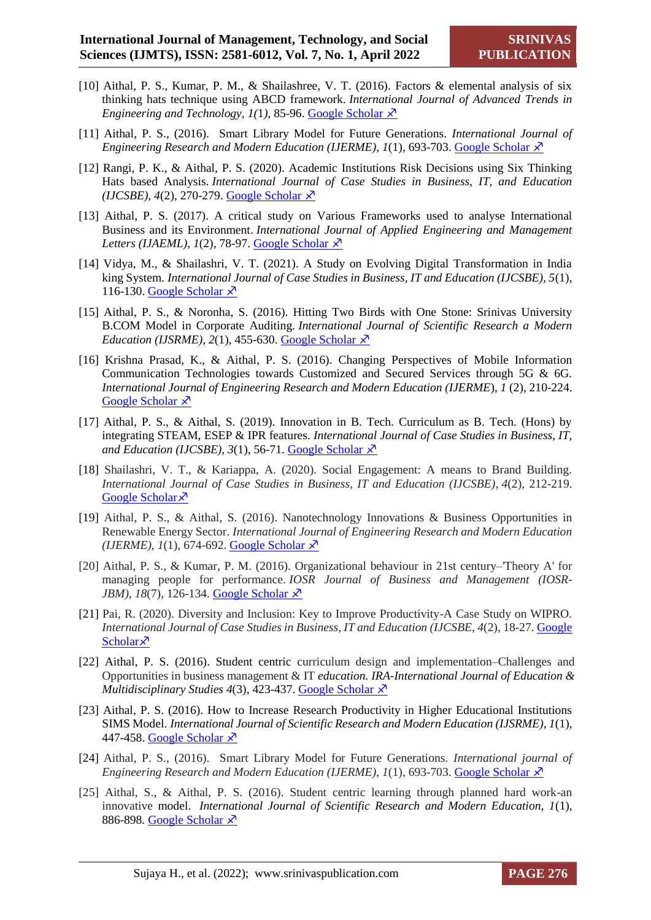- [10] Aithal, P. S., Kumar, P. M., & Shailashree, V. T. (2016). Factors & elemental analysis of six thinking hats technique using ABCD framework. *International Journal of Advanced Trends in Engineering and Technology, 1(1), 85-96. [Google Scholar](https://www.researchgate.net/publication/312232327_Factors_Elemental_Analysis_of_Six_Thinking_Hats_Technique_using_ABCD_Framework)*  $\lambda$
- [11] Aithal, P. S., (2016). Smart Library Model for Future Generations. *International Journal of Engineering Research and Modern Education (IJERME)*,  $I(1)$ , 693-703. [Google Scholar](file:///C:/Users/P.S.%20Aithal/Downloads/11.(19).%20Aithal,%20P.%20S.%20(2016).%20Smart%20Library%20Model%20for%20Future%20Generations.%20International%20Journal%20of)  $\overline{X}$
- [12] Rangi, P. K., & Aithal, P. S. (2020). Academic Institutions Risk Decisions using Six Thinking Hats based Analysis. *International Journal of Case Studies in Business, IT, and Education*   $(IJCSBE)$ ,  $4(2)$ , 270-279. [Google Scholar](file:///C:/Users/P.S.%20Aithal/Downloads/Rangi,%20P.%20K.,%20&%20Aithal,%20P.%20S.%20(2020).%20Academic%20Institutions%20Risk%20Decisions%20using%20Six%20Thinking%20Hats%20based%20Analysis)  $\chi^2$
- [13] Aithal, P. S. (2017). A critical study on Various Frameworks used to analyse International Business and its Environment. *International Journal of Applied Engineering and Management Letters (IJAEML)*,  $I(2)$ , 78-97. [Google Scholar](file:///C:/Users/P.S.%20Aithal/Downloads/Aithal,%20P.%20S.%20(2017).%20A%20critical%20study%20on%20Various%20Frameworks%20used%20to%20analyse%20International%20Business%20and%20its%20Environment)  $\lambda$ <sup>7</sup>
- [14] Vidya, M., & Shailashri, V. T. (2021). A Study on Evolving Digital Transformation in India king System. *International Journal of Case Studies in Business, IT and Education (IJCSBE), 5*(1), 116-130. [Google Scholar](file:///C:/Users/P.S.%20Aithal/Downloads/Vidya,%20M.,%20&%20Shailashri,%20V.%20T.%20(2021).%20A%20Study%20on%20Evolving%20Digital%20Transformation%20in%20Indian%20Banking%20System)  $\overline{X}$
- [15] Aithal, P. S., & Noronha, S. (2016). Hitting Two Birds with One Stone: Srinivas University B.COM Model in Corporate Auditing. *International Journal of Scientific Research a Modern Education (IJSRME)*,  $2(1)$ , 455-630. [Google Scholar](file:///C:/Users/P.S.%20Aithal/Downloads/%5d%20Aithal,%20P.%20S.,%20&%20Noronha,%20S.%20(2016).%20Hitting%20Two%20Birds%20with%20One%20Stone:%20Srinivas%20University%20B.%20COM%20Model%20in%20Corporate%20Auditing)  $\chi$ <sup>3</sup>
- [16] Krishna Prasad, K., & Aithal, P. S. (2016). Changing Perspectives of Mobile Information Communication Technologies towards Customized and Secured Services through 5G & 6G. *International Journal of Engineering Research and Modern Education (IJERME*), *1* (2), 210-224. [Google Scholar](file:///C:/Users/P.S.%20Aithal/Downloads/Krishna%20Prasad,%20K.,%20&%20Aithal,%20P.%20S.%20(2016).%20Changing%20Perspectives%20of%20Mobile%20Information%20Communication%20Technologies%20towards%20Customized%20and%20Secured%20Services%20through%205G%20&%206G)  $\overline{x}$
- [17] Aithal, P. S., & Aithal, S. (2019). Innovation in B. Tech. Curriculum as B. Tech. (Hons) by integrating STEAM, ESEP & IPR features. *International Journal of Case Studies in Business, IT, and Education (IJCSBE),*  $3(1)$ , 56-71. [Google Scholar](file:///C:/Users/P.S.%20Aithal/Downloads/Aithal,%20P.%20S.,%20&%20Aithal,%20S.%20(2019).%20Innovation%20in%20B.%20Tech.%20Curriculum%20as%20B.%20Tech.%20(Hons)%20by%20integrating%20STEAM,%20ESEP%20&%20IPR%20features)  $\lambda$
- [18] Shailashri, V. T., & Kariappa, A. (2020). Social Engagement: A means to Brand Building. *International Journal of Case Studies in Business, IT and Education (IJCSBE)*, *4*(2), 212-219. [Google Scholar](file:///C:/Users/P.S.%20Aithal/Downloads/%5d%20Shailashri,%20V.%20T.,%20&%20Kariappa,%20A.%20(2020).%20Social%20Engagement:%20A%20means%20to%20Brand%20Building) ×
- [19] Aithal, P. S., & Aithal, S. (2016). Nanotechnology Innovations & Business Opportunities in Renewable Energy Sector. *International Journal of Engineering Research and Modern Education (IJERME)*,  $I(1)$ , 674-692. [Google Scholar](file:///C:/Users/P.S.%20Aithal/Downloads/Aithal,%20P.%20S.,%20&%20Aithal,%20S.%20(2016).%20Nanotechnology%20Innovations%20&%20Business%20Opportunities%20in%20Renewable%20Energy%20Sector)  $\lambda$ <sup>7</sup>
- [20] Aithal, P. S., & Kumar, P. M. (2016). Organizational behaviour in 21st century–'Theory A' for managing people for performance. *IOSR Journal of Business and Management (IOSR-JBM*), *18*(7), 126-134. [Google Scholar](file:///C:/Users/P.S.%20Aithal/Downloads/%5d%20Aithal,%20P.%20S.,%20&%20Kumar,%20P.%20M.%20(2016).%20Organizational%20behaviour%20in%2021st%20century–)  $\lambda$
- [21] Pai, R. (2020). Diversity and Inclusion: Key to Improve Productivity-A Case Study on WIPRO. *International Journal of Case Studies in Business, IT and Education (IJCSBE, 4*(2), 18-27. [Google](file:///C:/Users/P.S.%20Aithal/Downloads/Pai,%20R.%20(2020).%20Diversity%20and%20Inclusion:%20Key%20to%20Improve%20Productivity-A%20Case%20Study%20on%20WIPRO)  [Scholar](file:///C:/Users/P.S.%20Aithal/Downloads/Pai,%20R.%20(2020).%20Diversity%20and%20Inclusion:%20Key%20to%20Improve%20Productivity-A%20Case%20Study%20on%20WIPRO) $\lambda$
- [22] Aithal, P. S. (2016). Student centric curriculum design and implementation–Challenges and Opportunities in business management & IT *education. IRA-International Journal of Education & Multidisciplinary Studies 4(3), 423-437. Google Scholar*  $\lambda$ <sup>7</sup>
- [23] Aithal, P. S. (2016). How to Increase Research Productivity in Higher Educational Institutions SIMS Model. *International Journal of Scientific Research and Modern Education (IJSRME), 1*(1), 447-458. [Google Scholar](file:///C:/Users/P.S.%20Aithal/Downloads/Aithal,%20P.%20S.%20(2016).%20How%20to%20Increase%20Research%20Productivity%20in%20Higher%20Educational%20Institutions–SIMS%20Model)  $\lambda$
- [24] Aithal, P. S., (2016). Smart Library Model for Future Generations. *International journal of Engineering Research and Modern Education (IJERME)*,  $I(1)$ , 693-703. [Google Scholar](file:///C:/Users/P.S.%20Aithal/Downloads/11.(19).%20Aithal,%20P.%20S.%20(2016).%20Smart%20Library%20Model%20for%20Future%20Generations.%20International%20Journal%20of)  $\lambda$
- [25] Aithal, S., & Aithal, P. S. (2016). Student centric learning through planned hard work-an innovative model. *International Journal of Scientific Research and Modern Education, 1*(1), 886-898. [Google Scholar](file:///C:/Users/P.S.%20Aithal/Downloads/Aithal,%20S.,%20&%20Aithal,%20P.%20S.%20(2016).%20Student%20centric%20learning%20through%20planned%20hard%20work-an%20innovative%20model) X<sup>2</sup>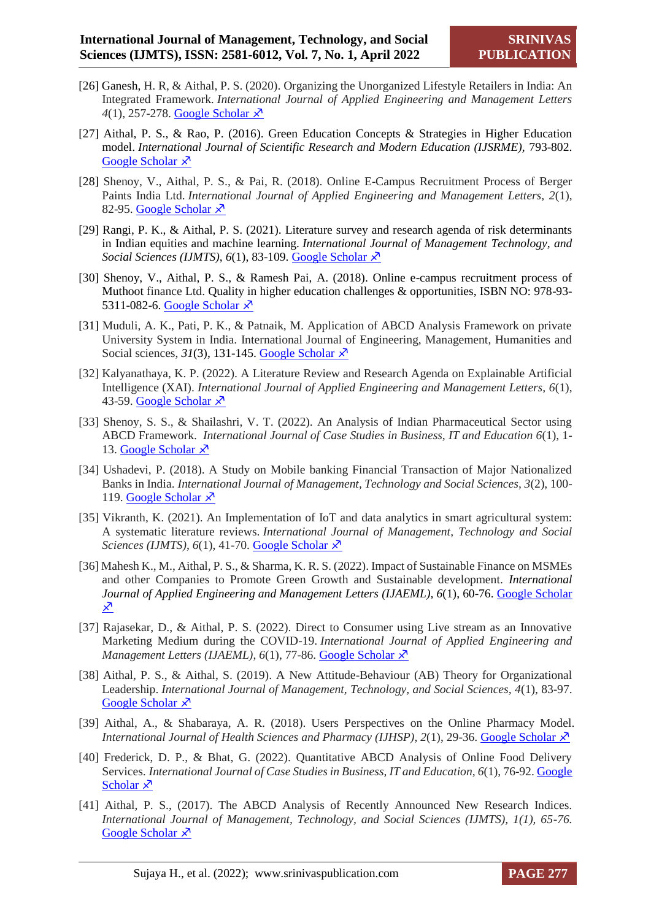- [26] Ganesh, H. R, & Aithal, P. S. (2020). Organizing the Unorganized Lifestyle Retailers in India: An Integrated Framework. *International Journal of Applied Engineering and Management Letters*  4(1), 257-278. [Google Scholar](file:///C:/Users/P.S.%20Aithal/Downloads/HR,%20G.,%20&%20Aithal,%20P.%20S.%20(2020).%20Organizing%20the%20Unorganized%20Lifestyle%20Retailers%20in%20India:%20An%20Integrated%20Framework)  $\lambda$
- [27] Aithal, P. S., & Rao, P. (2016). Green Education Concepts & Strategies in Higher Education model. *International Journal of Scientific Research and Modern Education (IJSRME),* 793-802. [Google Scholar](file:///C:/Users/P.S.%20Aithal/Downloads/Aithal,%20P.%20S.,%20&%20Rao,%20P.%20(2016).%20Green%20education%20concepts%20&%20strategies%20in%20higher%20education%20model)  $\lambda$
- [28] Shenoy, V., Aithal, P. S., & Pai, R. (2018). Online E-Campus Recruitment Process of Berger Paints India Ltd. *International Journal of Applied Engineering and Management Letters, 2*(1), 82-95. [Google Scholar](file:///C:/Users/P.S.%20Aithal/Downloads/Shenoy,%20V.,%20Aithal,%20P.%20S.,%20&%20Pai,%20R.%20(2018).%20Online%20E-Campus%20Recruitment%20Process%20of%20Berger%20Paints%20India%20Ltd)  $\overline{x}$
- [29] Rangi, P. K., & Aithal, P. S. (2021). Literature survey and research agenda of risk determinants in Indian equities and machine learning. *International Journal of Management Technology, and Social Sciences (IJMTS), 6(1), 83-109. Google Scholar*  $\lambda$ <sup>7</sup>
- [30] Shenoy, V., Aithal, P. S., & Ramesh Pai, A. (2018). Online e-campus recruitment process of Muthoot finance Ltd. Quality in higher education challenges & opportunities, ISBN NO: 978-93- 5311-082-6. [Google Scholar](file:///C:/Users/P.S.%20Aithal/Downloads/Shenoy,%20V.,%20Aithal,%20p.%20s.,%20&%20ramesh%20pai,%20a.%20(2018).%20online%20e-campus%20recruitment%20process%20of%20muthoot%20finance%20ltd.%20Quality%20in%20higher%20education%20challenges%20&%20opportunities)  $\lambda$ <sup>7</sup>
- [31] Muduli, A. K., Pati, P. K., & Patnaik, M. Application of ABCD Analysis Framework on private University System in India. International Journal of Engineering, Management, Humanities and Social sciences,  $31(3)$ , 131-145. [Google Scholar](file:///C:/Users/P.S.%20Aithal/Downloads/Muduli,%20A.%20K.,%20Pati,%20P.%20K.,%20&%20Patnaik,%20M.%20Application%20of%20ABCD%20Analysis%20Framework%20on%20Private%20University%20System%20in%20India)  $\overline{\mathcal{X}}$
- [32] Kalyanathaya, K. P. (2022). A Literature Review and Research Agenda on Explainable Artificial Intelligence (XAI). *International Journal of Applied Engineering and Management Letters, 6*(1), 43-59. [Google Scholar](file:///C:/Users/P.S.%20Aithal/Downloads/Kalyanathaya,%20K.%20P.%20(2022).%20A%20Literature%20Review%20and%20Research%20Agenda%20on%20Explainable%20Artificial)  $\lambda$
- [33] Shenoy, S. S., & Shailashri, V. T. (2022). An Analysis of Indian Pharmaceutical Sector using ABCD Framework. *International Journal of Case Studies in Business, IT and Education 6*(1), 1- 13. [Google Scholar](file:///C:/Users/P.S.%20Aithal/Downloads/Shenoy,%20S.%20S.,%20&%20Shailashri,%20V.%20T.%20(2022).%20An%20Analysis%20of%20Indian%20Pharmaceutical%20Sector%20using)  $\overline{x}$
- [34] Ushadevi, P. (2018). A Study on Mobile banking Financial Transaction of Major Nationalized Banks in India. *International Journal of Management, Technology and Social Sciences, 3*(2), 100- 119. [Google Scholar](file:///C:/Users/P.S.%20Aithal/Downloads/Ushadevi,%20P.%20(2018).%20A%20Study%20on%20Mobile%20banking%20Financial%20Transaction%20of%20Major%20Nationalized)  $\overline{x}$
- [35] Vikranth, K. (2021). An Implementation of IoT and data analytics in smart agricultural system: A systematic literature reviews. *International Journal of Management, Technology and Social Sciences (IJMTS)*, *6*(1), 41-70. [Google Scholar](file:///C:/Users/P.S.%20Aithal/Downloads/Vikranth,%20K.%20(2021).%20An%20Implementation%20of%20IoT%20and%20Data%20Analytics%20in%20Smart%20Agricultural)  $\lambda$ <sup>7</sup>
- [36] Mahesh K., M., Aithal, P. S., & Sharma, K. R. S. (2022). Impact of Sustainable Finance on MSMEs and other Companies to Promote Green Growth and Sustainable development. *International Journal of Applied Engineering and Management Letters (IJAEML), 6*(1), 60-76. [Google Scholar](file:///C:/Users/P.S.%20Aithal/Downloads/KM,%20M.,%20Aithal,%20S.,%20&%20Sharma,%20K.%20R.%20S.%20(2022).%20Impact%20of%20Sustainable%20Finance%20on%20MSMEs%20and)  <u>又</u>
- [37] Rajasekar, D., & Aithal, P. S. (2022). Direct to Consumer using Live stream as an Innovative Marketing Medium during the COVID-19. *International Journal of Applied Engineering and Management Letters (IJAEML)*, *6*(1), 77-86. [Google Scholar](file:///C:/Users/P.S.%20Aithal/Downloads/Rajasekar,%20D.,%20&%20Aithal,%20P.%20S.%20(2022).%20Direct%20to%20Consumer%20using%20Livestream%20as%20an%20Innovative)  $\lambda$ <sup>7</sup>
- [38] Aithal, P. S., & Aithal, S. (2019). A New Attitude-Behaviour (AB) Theory for Organizational Leadership. *International Journal of Management, Technology, and Social Sciences, 4*(1), 83-97. [Google Scholar](file:///C:/Users/P.S.%20Aithal/Downloads/Aithal,%20P.%20S.,%20&%20Aithal,%20S.%20(2019).%20A%20New%20Attitude-Behaviour%20(AB)%20Theory%20for%20Organizational)  $\lambda$
- [39] Aithal, A., & Shabaraya, A. R. (2018). Users Perspectives on the Online Pharmacy Model. *International Journal of Health Sciences and Pharmacy (IJHSP)*, 2(1), 29-36. [Google Scholar](file:///C:/Users/P.S.%20Aithal/Downloads/Aithal,%20A.,%20&%20Shabaraya,%20A.%20R.%20(2018).%20Users%20Perspectives%20on%20Online%20Pharmacy)  $\overline{X}$
- [40] Frederick, D. P., & Bhat, G. (2022). Quantitative ABCD Analysis of Online Food Delivery Services. *International Journal of Case Studies in Business, IT and Education, 6*(1), 76-92. [Google](file:///C:/Users/P.S.%20Aithal/Downloads/Dsouza,%20Prima%20Frederick,%20&%20Ganesh%20Bhat,%20S.,%20(2022).%20Quantitative%20ABCD%20Analysis%20of%20Online%20Food%20Delivery%20Services)  [Scholar](file:///C:/Users/P.S.%20Aithal/Downloads/Dsouza,%20Prima%20Frederick,%20&%20Ganesh%20Bhat,%20S.,%20(2022).%20Quantitative%20ABCD%20Analysis%20of%20Online%20Food%20Delivery%20Services)  $\lambda$
- [41] Aithal, P. S., (2017). The ABCD Analysis of Recently Announced New Research Indices. *International Journal of Management, Technology, and Social Sciences (IJMTS), 1(1), 65-76.* [Google Scholar](file:///C:/Users/P.S.%20Aithal/Downloads/ithal,%20P.%20S.%20(2017).%20ABCD%20Analysis%20of%20Recently%20Announced%20New%20Research%20%20Indices)  $\lambda$